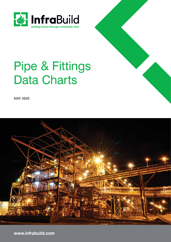

# Pipe & Fittings Data Charts

**MAY 2020**



**www.infrabuild.com**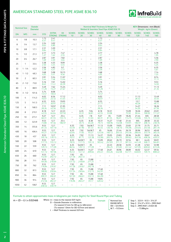# AMERICAN STANDARD STEEL PIPE ASME B36.10



|           | <b>Nominal Size</b> | Outside<br><b>Diameter</b> |                          |                          |                            |                                   |                             |                                   |                                    | Nominal Wall Thickness & Weight for<br>Welded & Seamless Steel Pipe ASME B36.10 |                             |                           |                             | KEY: Dimensions - mm (Black)<br>Weight - kg/m (Green) |                                    |
|-----------|---------------------|----------------------------|--------------------------|--------------------------|----------------------------|-----------------------------------|-----------------------------|-----------------------------------|------------------------------------|---------------------------------------------------------------------------------|-----------------------------|---------------------------|-----------------------------|-------------------------------------------------------|------------------------------------|
| <b>DN</b> | <b>NPS</b>          | mm                         | <b>STD</b>               | <b>EXTRA</b>             | <b>XX</b><br>STRONG STRONG | SCHED.<br>10                      | SCHED.<br>20                | SCHED.<br>30                      | SCHED.<br>40                       | SCHED.<br>60                                                                    | SCHED.<br>80                | SCHED.<br>100             | SCHED.<br>120               | SCHED.<br>140                                         | SCHED.<br>160                      |
| 6         | 1/8                 | 10.3                       | 1.73<br>0.37             | 2.41<br>0.47             | L.                         | $\overline{\phantom{a}}$          | $\overline{\phantom{0}}$    | $\overline{\phantom{m}}$          | 1.73<br>0.37                       | $\equiv$                                                                        |                             | $\qquad \qquad -$         | $\equiv$                    | $\overline{\phantom{a}}$                              | $\overline{\phantom{0}}$           |
| 8         | 1/4                 | 13.7                       | 2.24<br>0.63             | 3.02<br>0.80             | -                          | -                                 | $\qquad \qquad -$           | $\overline{\phantom{0}}$          | 2.24<br>0.63                       | $\overline{\phantom{0}}$                                                        |                             | -                         | $\qquad \qquad -$           | $\overline{\phantom{a}}$                              | -                                  |
| 10        | 3/8                 | 17.1                       | 2.31<br>0.84             | 3.20<br>1.10             | $\qquad \qquad -$          | $\overline{\phantom{0}}$          | $\overline{\phantom{0}}$    | L,                                | 2.31<br>0.84                       | $\equiv$                                                                        |                             | $\overline{\phantom{0}}$  | $\overline{\phantom{0}}$    | $\overline{\phantom{0}}$                              |                                    |
| 15        | 1/2                 | 21.3                       | 2.77<br>1.27             | 3.73<br>1.62             | 7.47<br>2.55               | $\overline{\phantom{0}}$          | -                           | $\overline{\phantom{0}}$          | 2.77<br>1.27                       | -                                                                               |                             | ۳                         | $\overline{\phantom{0}}$    | $\overline{\phantom{0}}$                              | 4.78<br>1.95                       |
| 20        | 3/4                 | 26.7                       | 2.87<br>1.69             | 3.91<br>2.20             | 7.82<br>3.64               | $\overline{\phantom{0}}$          | $\overline{\phantom{0}}$    | $\overline{\phantom{0}}$          | 2.87<br>1.69                       | $\equiv$                                                                        |                             | $\overline{\phantom{0}}$  | $\overline{\phantom{0}}$    | $\overline{\phantom{0}}$                              | 5.56<br>2.90                       |
| 25        | $\mathbf{1}$        | 33.4                       | 3.38<br>2.50             | 4.55<br>3.24             | 9.09<br>5.45               | $\overline{\phantom{0}}$          | $\qquad \qquad -$           | $\overline{\phantom{a}}$          | 3.38<br>2.50                       | -                                                                               |                             | $\overline{\phantom{0}}$  | $\overline{\phantom{0}}$    | $\qquad \qquad -$                                     | 6.35<br>4.24                       |
| 32        | $1 - 1/4$           | 42.2                       | 3.56<br>3.39             | 4.85<br>4.47             | 9.7<br>7.77                | $\qquad \qquad -$                 | $\qquad \qquad -$           | $\overline{\phantom{0}}$          | 3.56<br>3.39                       | $\qquad \qquad -$                                                               |                             | $\overline{\phantom{0}}$  | $\overline{\phantom{0}}$    | $\overline{\phantom{a}}$                              | 6.35<br>5.61                       |
| 40        | $1 - 1/2$           | 48.3                       | 3.68<br>4.05             | 5.08<br>5.41             | 10.15<br>9.56              | $\overline{\phantom{0}}$          | $\overline{\phantom{0}}$    | $\overline{\phantom{0}}$          | 3.68<br>4.05                       | $\overline{\phantom{0}}$                                                        |                             | $\overline{\phantom{0}}$  | $\overline{\phantom{0}}$    | $\qquad \qquad -$                                     | 7.14<br>7.25                       |
| 50        | $\overline{2}$      | 60.3                       | 3.91<br>5.44             | 5.54<br>7.48             | 11.07<br>13.44             | $\overline{\phantom{m}}$          | $\overline{\phantom{0}}$    | $\overline{\phantom{0}}$          | 3.91<br>5.44                       | $\overline{\phantom{0}}$                                                        |                             | $\overline{\phantom{0}}$  | $\overline{\phantom{0}}$    | $\overline{\phantom{0}}$                              | 8.74<br>11.11                      |
| 65        | $2 - 1/2$           | 73.0                       | 5.16<br>8.63             | 7.01<br>11.41            | 14.02<br>20.39             | $\overline{\phantom{0}}$          | $\qquad \qquad -$           | -                                 | 5.16<br>8.63                       | $\qquad \qquad -$                                                               |                             | $\overline{\phantom{0}}$  | $\qquad \qquad -$           | $\qquad \qquad -$                                     | 9.53<br>14.92                      |
| 80        | 3                   | 88.9                       | 5.49<br>11.29            | 7.62<br>15.27            | 15.24<br>27.67             | $\overline{\phantom{0}}$          | $\overline{\phantom{0}}$    | $\overline{\phantom{0}}$          | 5.49<br>11.29                      | ÷,                                                                              |                             | $\overline{\phantom{0}}$  | $\overline{\phantom{0}}$    | $\overline{\phantom{a}}$                              | 11.13<br>21.35                     |
| 90        | $3 - 1/2$           | 101.6                      | 5.74<br>13.57            | 8.08<br>18.63            | $\overline{\phantom{0}}$   | $\overbrace{\phantom{123221111}}$ | $\qquad \qquad -$           | $\qquad \qquad -$                 | 5.74<br>13.57                      | $\overline{\phantom{0}}$                                                        |                             | $\qquad \qquad -$         | $\overline{\phantom{0}}$    | $\overline{\phantom{a}}$                              |                                    |
| 100       | 4                   | 114.3                      | 6.02<br>16.07            | 8.56<br>22.32            | 17.12<br>41.03             | $\overline{\phantom{0}}$          | $\overline{\phantom{0}}$    | $\overline{\phantom{0}}$          | 6.02<br>16.07                      | $\overline{\phantom{0}}$                                                        |                             | $\overline{\phantom{0}}$  | 11.13<br>28.32              | $\frac{1}{2}$                                         | 13.49<br>33.54                     |
| 125       | 5                   | 141.3                      | 6.55<br>21.77            | 9.53<br>30.97            | 19.05<br>57.43             | $\qquad \qquad -$                 | $\qquad \qquad -$           | $\overline{\phantom{0}}$          | 6.55<br>21.77                      | $\qquad \qquad -$                                                               |                             | $\qquad \qquad -$         | 12.7<br>40.28               | $\qquad \qquad -$                                     | 15.88<br>49.11                     |
| 150       | 6                   | 168.3                      | 7.11<br>28.26            | 10.97<br>42.56           | 21.95<br>79.22             | $\overline{\phantom{0}}$          | $\overline{\phantom{0}}$    | -                                 | 7.11<br>28.26                      | $\overline{\phantom{0}}$                                                        |                             | $\qquad \qquad -$         | 14.27<br>54.20              | $\overline{\phantom{0}}$                              | 18.26<br>67.56                     |
| 200       | 8                   | 219.1                      | 8.18<br>42.55            | 12.7<br>64.64            | 22.23<br>107.92            |                                   | 6.35<br>33.31               | 7.04<br>36.81                     | 8.18<br>42.55                      | 10.31<br>53.08                                                                  |                             | 15.09<br>75.92            | 18.26<br>90.44              | 20.62<br>100.92                                       | 23.01<br>111.27                    |
| 250       | 10                  | 273.1                      | 9.27<br>60.31            | 12.7<br>81.55            | 25.4<br>155.15             | $\overline{\phantom{a}}$          | 6.35<br>41.77               | 7.8<br>51.03                      | 9.27<br>60.31                      | XS<br>81.55                                                                     | 15.09<br>96.01              | 18.26<br>114.75           | 21.44<br>133.06             | XXS<br>155.15                                         | 28.58<br>172.33                    |
| 300       | 12                  | 323.9                      | 9.53<br>73.88            | 12.7<br>97.46            | 25.4<br>186.97             | $\qquad \qquad -$                 | 6.35<br>49.73               | 8.38<br>65.20                     | 10.31<br>79.73                     | 14.27<br>108.96                                                                 | 17.48<br>132.08             | 21.44<br>159.91           | XXS<br>186.97               | 28.58<br>208.14                                       | 33.32<br>238.76                    |
| 350       | 14                  | 355.6                      | 9.53<br>81.33            | 12.7<br>107.10           | -                          | 6.35<br>54.59                     | 7.92<br>67.90               | Std.W.T.<br>81.33                 | 11.13<br>94.55                     | 15.09<br>126.70                                                                 | 19.05<br>158.10             | 23.83<br>194.96           | 27.79<br>224.65             | 31.75<br>253.56                                       | 35.71<br>281.70                    |
| 400       | 16                  | 406.4                      | 9.53                     | 12.7                     |                            | 6.35                              | 7.92                        | Std.W.T.                          | XS<br>123.30                       | 16.66                                                                           | 21.44                       | 26.19                     | 30.96                       | 36.53                                                 | 40.49                              |
| 450       | 18                  | 457                        | 93.27<br>9.53<br>105.16  | 123.30<br>12.7           | $\overline{\phantom{0}}$   | 62.64<br>6.35<br>70.57            | 77.83<br>7.92<br>87.71      | 93.27<br>11.13                    | 14.27<br>155.80                    | 160.12<br>19.05<br>205.74                                                       | 203.53<br>23.83             | 245.56<br>29.36<br>309.62 | 286.64<br>34.93             | 333.19<br>39.67                                       | 365.35<br>45.24<br>459.37          |
| 500       | 20                  | 508                        | 9.53                     | 139.15<br>12.7           | $\qquad \qquad -$          | 6.35                              | Std.W.T.                    | 122.38<br>XS                      | 15.09                              | 20.62                                                                           | 254.55<br>26.19             | 32.54                     | 363.56<br>38.1              | 408.26<br>44.45                                       | 50.01                              |
| 550       | 22                  | 559                        | 117.15<br>9.53           | 155.12<br>12.7           | $\overline{\phantom{0}}$   | 78.55<br>6.35                     | 117.15<br>Std.W.T.          | 155.12<br>XS                      | 183.42                             | 247.83<br>22.23                                                                 | 311.17<br>28.58             | 381.53<br>34.93           | 441.49<br>41.28             | 508.11<br>47.63                                       | 564.81<br>53.98                    |
| 600       | 24                  | 610                        | 129.13<br>9.53           | 171.09<br>12.7           | $\overline{\phantom{0}}$   | 86.54<br>6.35                     | 129.13<br>Std.W.T.          | 171.09<br>14.27                   | 17.48                              | 294.25<br>24.61                                                                 | 373.83<br>30.96             | 451.42<br>38.89           | 527.05<br>46.02             | 600.63<br>52.37                                       | 672.26<br>59.54                    |
| 650       | 26                  | 660                        | 141.12<br>9.53           | 187.06<br>12.7           | -                          | 94.53<br>7.92                     | 141.12<br>XS                | 209.64<br>$\qquad \qquad -$       | 255.41<br>$\overline{\phantom{0}}$ | 355.26<br>$\overline{\phantom{0}}$                                              | 442.08<br>$\qquad \qquad -$ | 547.71<br>-               | 640.03<br>$\qquad \qquad -$ | 720.15<br>$\qquad \qquad -$                           | 808.22<br>$\overline{\phantom{0}}$ |
| 700       | 28                  | 711                        | 152.87<br>9.53           | 202.72<br>12.7           |                            | 127.36<br>7.92                    | 202.72<br>XS                | 15.88                             | $\overline{\phantom{a}}$           | $\qquad \qquad -$                                                               | $\qquad \qquad -$           | $\overline{\phantom{0}}$  | $\overline{\phantom{m}}$    | $\overline{\phantom{m}}$                              | $\overline{\phantom{0}}$           |
| 750       | 30                  | 762                        | 164.85<br>9.53           | 218.69<br>12.7           | -                          | 137.32<br>7.92                    | 218.69<br>XS                | 271.21<br>15.88                   | $\qquad \qquad -$                  | $\qquad \qquad -$                                                               | $\overline{\phantom{a}}$    | $\qquad \qquad -$         | $\qquad \qquad -$           | $\overline{\phantom{a}}$                              | $\qquad \qquad -$                  |
| 800       | 32                  | 813                        | 176.84<br>9.53           | 234.67<br>12.7           | $\qquad \qquad -$          | 147.28<br>7.92                    | 234.67<br>XS                | 292.18<br>15.88                   | 17.48                              | $\qquad \qquad -$                                                               | $\overline{\phantom{a}}$    | -                         | $\overline{\phantom{m}}$    | $\overline{\phantom{a}}$                              | $\qquad \qquad -$                  |
| 850       | 34                  | 864                        | 188.82<br>9.53           | 250.64<br>12.7           | $\overline{\phantom{0}}$   | 157.24<br>7.92                    | 250.64<br>XS                | 312.15<br>15.88                   | 342.91<br>17.48                    | $\overline{\phantom{m}}$                                                        | $\overline{\phantom{a}}$    | $\qquad \qquad -$         | $\overline{\phantom{a}}$    | $\overline{\phantom{0}}$                              | $\overline{\phantom{0}}$           |
| 900       | 36                  | 914                        | 200.31<br>9.53           | 266.61<br>12.7           | -                          | 167.20<br>7.92                    | 266.61<br>XS                | 332.12<br>15.88                   | 364.90<br>19.05                    | $\overline{\phantom{m}}$                                                        | $\qquad \qquad -$           | $\qquad \qquad -$         | $\overline{\phantom{m}}$    | $\overline{\phantom{m}}$                              | $\overline{\phantom{0}}$           |
| 1050      | 42                  | 1067                       | 212.56<br>9.53<br>248.52 | 282.27<br>12.7<br>330.19 | <sup>-</sup>               | 176.96<br>$\qquad \qquad -$       | 282.27<br>$\qquad \qquad -$ | 351.7<br>$\overline{\phantom{a}}$ | 420.42<br>$\qquad \qquad -$        | -                                                                               | $\qquad \qquad -$           | $\overline{\phantom{0}}$  | $\qquad \qquad -$           | $\qquad \qquad -$                                     | $\qquad \qquad -$                  |

Formula to attain approximate mass in kilograms per metre (kg/m) for Steel Round Pipe and Tubing

- $m = (D t) t \times 0.02466$  Where: m = mass to the nearest 0.01 kg/m Example  $\Box$  Nominal Size D = Outside Diameter in millimetres
	-
	- (To nearest 0.1mm for OD up to 406.4mm) (To nearest 1.0mm for OD 457mm and above)
	- t = Wall Thickness to nearest 0.01mm
- DN300 NPS12 OD = 323.9mm W.T. = 9.53mm

Example

Step 1. 323.9 – 9.53 = 314.37 Step 2. 314.37 x 9.53 = 2995.9461 Step 3. 2995.9461 x 0.024 66 = 73.88kg/m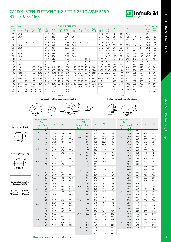**Pa** InfraBuild

# CARBON STEEL BUTTWELDING FITTINGS TO ASME B16.9, B16.28 & BS.1640

| Nom.                     | Pipe            |            |            |                          |             |            |                          | <b>Wall Thickness (mm)</b> |            |             |             |                          |             |              |      |      |      |      |      | E. Std.<br>Wt. | Nom.                     |
|--------------------------|-----------------|------------|------------|--------------------------|-------------|------------|--------------------------|----------------------------|------------|-------------|-------------|--------------------------|-------------|--------------|------|------|------|------|------|----------------|--------------------------|
| <b>Size</b><br><b>DN</b> | <b>OD</b><br>mm | Sch.<br>10 | Sch.<br>20 | Sch.<br>30               | Std.<br>Wt. | Sch.<br>40 | Sch.<br>60               | X Stg.                     | Sch.<br>80 | Sch.<br>100 | Sch.<br>120 | Sch.<br>140              | Sch.<br>160 | X.X.<br>Stq. | A    | B    | K    | D    |      | & Ex.<br>Sta.  | <b>Size</b><br><b>DN</b> |
| 15                       | 21.3            |            | ٠          | $\blacksquare$           | 2.77        | 2.77       |                          | 3.73                       | 3.73       |             |             | $\sim$                   | 4.78        | 7.47         | 38   | 16   | 47.5 | -    | –    | 25.4           | 15                       |
| 20                       | 26.7            |            | ٠          | $\overline{\phantom{a}}$ | 2.87        | 2.87       |                          | 3.91                       | 3.91       |             |             | $\overline{\phantom{a}}$ | 5.56        | 7.82         | 38   | 19   | 43   | 19   | 33   | 25.4           | 20                       |
| 25                       | 33.4            |            | ٠          | $\blacksquare$           | 3.38        | 3.38       | $\overline{\phantom{a}}$ | 4.55                       | 4.55       | ٠           | $\sim$      | $\sim$                   | 6.35        | 9.09         | 38   | 22   | 55.5 | 25.4 | 41   | 38.1           | 25                       |
| 32                       | 42.2            |            | ٠          |                          | 3.56        | 3.56       |                          | 4.85                       | 4.85       | ٠           |             | $\overline{\phantom{a}}$ | 6.35        | 9.70         | 47.5 | 25.4 | 70   | 32   | 52   | 38.1           | 32                       |
| 40                       | 48.3            |            | ٠          | $\overline{\phantom{a}}$ | 3.68        | 3.68       | $\blacksquare$           | 5.08                       | 5.08       | ٠           | $\sim$      | ٠                        | 7.14        | 10.15        | 57   | 29   | 82.5 | 38   | 62   | 38.1           | 40                       |
| 50                       | 60.3            |            | ٠          | $\overline{\phantom{a}}$ | 3.91        | 3.91       |                          | 5.54                       | 5.54       | ٠           | $\sim$      | ٠                        | 8.74        | 11.07        | 76   | 35   | 106  | 51   | 81   | 38.1           | 50                       |
| 65                       | 73.0            | $\sim$     | ٠          | $\overline{\phantom{a}}$ | 5.16        | 5.16       | ٠                        | 7.01                       | 7.01       | ٠           | $\sim$      | $\sim$                   | 9.53        | 14.02        | 95   | 44.5 | 132  | 63.5 | 100  | 38.1           | 65                       |
| 80                       | 88.9            |            | ٠          |                          | 5.49        | 5.49       |                          | 7.62                       | 7.62       | ٠           | ٠           | ٠                        | 11.13       | 15.24        | 114  | 51   | 159  | 76   | 121  | 50.8           | 80                       |
| 90                       | 101.6           |            | ٠          | ٠                        | 5.74        | 5.74       |                          | 8.08                       | 8.08       |             |             | ٠                        |             | 16.15        | 133  | 57   | 184  | 89   | 140  | 63.5           | 90                       |
| 100                      | 114.3           |            | ٠          |                          | 6.02        | 6.02       |                          | 8.56                       | 8.56       |             | 11.13       | $\overline{\phantom{a}}$ | 13.49       | 17.12        | 152  | 63.5 | 210  | 102  | 159  | 63.5           | 100                      |
| 125                      | 141.3           |            | ٠          |                          | 6.55        | 6.55       |                          | 9.53                       | 9.53       |             | 12.70       | $\overline{\phantom{a}}$ | 15.88       | 19.05        | 190  | 79   | 262  | 127  | 197  | 76.2           | 125                      |
| 150                      | 168.3           |            | ٠          |                          | 7.11        | 7.11       |                          | 10.97                      | 10.97      |             | 14.27       |                          | 18.26       | 21.95        | 229  | 95   | 313  | 152  | 237  | 88.9           | 150                      |
| 200                      | 219.1           |            | 6.35       | 7.04                     | 8.18        | 8.18       | 10.31                    | 12.70                      | 12.70      | 15.09       | 18.26       | 20.62                    | 23.01       | 22.23        | 305  | 127  | 414  | 203  | 313  | 102            | 200                      |
| 250                      | 273.1           |            | 6.35       | 7.80                     | 9.27        | 9.27       | 12.70                    | 12.70                      | 15.09      | 18.26       | 21.44       | 25.40                    | 28.58       | 25.40        | 381  | 159  | 517  | 254  | 390  | 127            | 250                      |
| 300                      | 323.9           |            | 6.35       | 8.38                     | 9.53        | 10.31      | 14.27                    | 12.70                      | 17.48      | 21.44       | 25.40       | 28.58                    | 33.32       | 25.40        | 457  | 190  | 619  | 305  | 467  | 152            | 300                      |
| 350                      | 355.6           | 6.35       | 7.92       | 9.53                     | 9.53        | 11.13      | 15.09                    | 12.70                      | 19.05      | 23.83       | 27.79       | 31.75                    | 35.71       |              | 533  | 222  | 711  | 356  | 533  | 165            | 350                      |
| 400                      | 406.4           | 6.35       | 7.92       | 9.53                     | 9.53        | 12.7       | 16.66                    | 12.70                      | 21.44      | 26.19       | 30.96       | 36.53                    | 40.49       |              | 610  | 254  | 813  | 406  | 610  | 178            | 400                      |
| 450                      | 457             | 6.35       | 7.92       | 11.13                    | 9.53        | 14.27      | 19.05                    | 12.70                      | 23.83      | 29.36       | 34.93       | 39.67                    | 45.24       | ×.           | 686  | 286  | 914  | 457  | 686  | 203            | 450                      |
| 500                      | 508             | 6.35       | 9.53       | 12.70                    | 9.53        | 15.09      | 20.62                    | 12.70                      | 26.19      | 32.54       | 38.10       | 44.45                    | 50.01       | ×.           | 762  | 318  | 1016 | 508  | 762  | 229            | 500                      |
| 600                      | 610             | 6.35       | 9.53       | 14.27                    | 9.53        | 17.48      | 24.61                    | 12.70                      | 30.96      | 38.89       | 46.02       | 52.37                    | 59.54       | ×.           | 914  | 381  | 1219 | 610  | 914  | 267            | 600                      |
| 750                      | 762             | 7.92       | 12.70      | 15.88                    | 9.53        |            |                          | 12.70                      |            |             |             | $\overline{\phantom{a}}$ |             | ٠            | 1143 | 470  | 1524 | 762  | 1143 | 267            | 750                      |
| 900                      | 914             | 7.92       | 12.70      | 15.88                    | 9.53        | 19.05      |                          | 12.70                      | ٠          |             |             | ٠                        |             | ٠            | 1372 | 565  |      | 914  | 1372 | 267            | 900                      |







**Long radius welding elbows, return bends & caps**



E

**B16.9 B16.28**



**Radius welding elbows, return bends**

|                                            |       | <b>Nominal Size</b> |      |                             |                          |       | <b>Nominal Size</b> |     |                             |                             |       | <b>Nominal Size</b> |     |                             |                          |
|--------------------------------------------|-------|---------------------|------|-----------------------------|--------------------------|-------|---------------------|-----|-----------------------------|-----------------------------|-------|---------------------|-----|-----------------------------|--------------------------|
|                                            |       | <b>DN</b>           | C    | M                           | Н                        |       | <b>DN</b>           | C   | M                           | н                           |       | <b>DN</b>           | C   | M                           |                          |
|                                            | Large | <b>Small</b>        |      |                             |                          | Large | <b>Small</b>        |     |                             |                             | Large | <b>Small</b>        |     |                             | н                        |
| <b>Straight tees (B16.9)</b>               | End   | End                 |      |                             |                          | End   | End                 |     |                             |                             | End   | End                 |     |                             |                          |
|                                            | 20    | 20                  | 28.6 | $\sim$                      | $\epsilon$               |       | 100                 | 105 | $\sim$                      | $\sim$                      |       | 400                 | 305 | $\sim$                      | $\epsilon$               |
| 不                                          |       | 15                  | 28.6 | 28.6                        | 38.1                     |       | 90                  | 105 | 102                         | 102                         |       | 350                 | 305 | 305                         | 356                      |
|                                            |       | 25                  | 38.1 | $\mathcal{L}_{\mathcal{A}}$ | $\overline{\phantom{a}}$ |       | 80                  | 105 | 98.4                        | 102                         | 400   | 300                 | 305 | 295                         | 356                      |
|                                            | 25    | 20                  | 38.1 | 38.1                        | 50.8                     | 100   | 65                  | 105 | 95.3                        | 102                         |       | 250                 | 305 | 283                         | 356                      |
|                                            |       | 15                  | 38.1 | 38.1                        | 50.8                     |       | 50                  | 105 | 88.9                        | 102                         |       | 200                 | 305 | 273                         | 356                      |
|                                            |       | 32                  | 47.6 | $\mathcal{L}$               | ÷,                       |       | 40                  | 105 | 85.7                        | 102                         |       | 150                 | 305 | 264                         | 356                      |
|                                            | 32    | 25                  | 47.6 | 47.6                        | 50.8                     |       | 125                 | 124 | $\sim$                      | $\mathcal{L}_{\mathcal{A}}$ |       | 450                 | 343 | $\mathcal{L}_{\mathcal{A}}$ | $\overline{\phantom{a}}$ |
|                                            |       | 20                  | 47.6 | 47.6                        | 50.8                     |       | 100                 | 124 | 117                         | 127                         |       | 400                 | 343 | 330                         | 381                      |
| Reducing tees (B16.9)                      |       | 15                  | 47.6 | 47.6                        | 50.8                     | 125   | 90                  | 124 | 114                         | 127                         | 450   | 350                 | 343 | 330                         | 381                      |
|                                            |       | 40                  | 57.2 | $\mathcal{L}_{\mathcal{A}}$ | $\overline{\phantom{a}}$ |       | 80                  | 124 | 111                         | 127                         |       | 300                 | 343 | 321                         | 381                      |
| ∧                                          |       | 32                  | 57.2 | 57.2                        | 63.5                     |       | 65                  | 124 | 108                         | 127                         |       | 250                 | 343 | 308                         | 381                      |
| М<br>v                                     | 40    | 25                  | 57.2 | 57.2                        | 63.5                     |       | 50                  | 124 | 105                         | 127                         |       | 200                 | 343 | 298                         | 381                      |
|                                            |       | 20                  | 57.2 | 57.2                        | 63.5                     |       | 150                 | 143 | $\mathcal{L}$               | $\mathcal{L}$               |       | 500                 | 381 | $\mathcal{L}_{\mathcal{A}}$ | $\mathcal{L}$            |
| KCHKCH                                     |       | 15                  | 57.2 | 57.2                        | 63.5                     |       | 125                 | 143 | 137                         | 140                         |       | 450                 | 381 | 368                         | 508                      |
|                                            |       | 50                  | 63.5 | $\sim$                      | $\overline{\phantom{a}}$ |       | 100                 | 143 | 130                         | 140                         |       | 400                 | 381 | 356                         | 508                      |
|                                            |       | 40                  | 63.5 | 60.3                        | 76.2                     | 150   | 90                  | 143 | 127                         | 140                         | 500   | 350                 | 381 | 356                         | 508                      |
|                                            | 50    | 32                  | 63.5 | 57.2                        | 76.2                     |       | 80                  | 143 | 124                         | 140                         |       | 300                 | 381 | 346                         | 508                      |
|                                            |       | 25                  | 63.5 | 50.8                        | 76.2                     |       | 65                  | 143 | 121                         | 140                         |       | 250                 | 381 | 333                         | 508                      |
|                                            |       | 20                  | 63.5 | 44.5                        | 76.2                     |       | 200                 | 178 | $\mathcal{L}_{\mathcal{A}}$ | ä,                          |       | 200                 | 381 | 324                         | 508                      |
| Concentric & eccentric<br>Reducers (B16.9) |       | 65                  | 76.2 | $\mathcal{L}$               | $\overline{\phantom{a}}$ |       | 150                 | 178 | 168                         | 152                         |       | 600                 | 432 | ÷.                          | $\sim$                   |
|                                            |       | 50                  | 76.2 | 69.9                        | 88.9                     | 200   | 125                 | 178 | 162                         | 152                         |       | 500                 | 432 | 432                         | 508                      |
|                                            | 65    | 40                  | 76.2 | 66.7                        | 88.9                     |       | 100                 | 178 | 155                         | 152                         |       | 450                 | 432 | 419                         | 508                      |
| 大⊥★                                        |       | 32                  | 76.2 | 63.5                        | 88.9                     |       | 80                  | 178 | 152                         | 152                         | 600   | 400                 | 432 | 406                         | 508                      |
|                                            |       | 25                  | 76.2 | 57.2                        | 88.9                     |       | 250                 | 216 | $\sim$                      | ÷.                          |       | 350                 | 432 | 406                         | 508                      |
|                                            |       | 80                  | 85.7 | $\mathcal{L}$               | $\overline{\phantom{a}}$ |       | 200                 | 216 | 203                         | 178                         |       | 300                 | 432 | 397                         | 508                      |
|                                            |       | 65                  | 85.7 | 82.6                        | 88.9                     | 250   | 150                 | 216 | 194                         | 178                         |       | 250                 | 432 | 384                         | 508                      |
|                                            |       | 50                  | 85.7 | 76.2                        | 88.9                     |       | 125                 | 216 | 191                         | 178                         |       | 750                 | 559 | $\sim$                      | $\overline{\phantom{a}}$ |
|                                            | 80    | 40                  | 85.7 | 73.0                        | 88.9                     |       | 100                 | 216 | 184                         | 178                         |       | 600                 | 559 | 533                         | 610                      |
|                                            |       | 32                  | 85.7 | 69.9                        | 88.9                     |       | 300                 | 254 | $\mathcal{L}$               | $\mathcal{L}_{\mathcal{A}}$ | 750   | 500                 | 559 | 508                         | 610                      |
|                                            |       | 25                  | 85.7 | 69.9                        | 88.9                     |       | 250                 | 254 | 241                         | 203                         |       | 450                 | 559 | 495                         | 610                      |
|                                            |       | 90                  | 95.3 | $\mathcal{L}$               | ÷.                       | 300   | 200                 | 254 | 229                         | 203                         |       | 400                 | 559 | 483                         | 610                      |
|                                            |       | 80                  | 95.3 | 92.1                        | 102                      |       | 150                 | 254 | 219                         | 203                         |       | 900                 | 673 | $\mathcal{L}_{\mathcal{A}}$ | $\sim$                   |
|                                            | 90    | 65                  | 95.3 | 88.9                        | 102                      |       | 100                 | 254 | 210                         | 203                         |       | 750                 | 673 | 635                         | 610                      |
|                                            |       | 50                  | 95.3 | 82.6                        | 102                      |       | 350                 | 279 | $\sim$                      | à.                          | 900   | 600                 | 673 | 610                         | 610                      |
|                                            |       | 40                  | 95.3 | 79.4                        | 102                      |       | 300                 | 279 | 270                         | 330                         |       | 500                 | 673 | 584                         | 610                      |
|                                            |       |                     |      |                             |                          | 350   | 250                 | 279 | 257                         | 330                         |       | 450                 | 673 | 572                         | 610                      |
|                                            |       |                     |      |                             |                          |       | 200                 | 279 | 248                         | 330                         |       |                     |     |                             |                          |
|                                            |       |                     |      |                             |                          |       | 150                 | 279 | 238                         | 330                         |       |                     |     |                             |                          |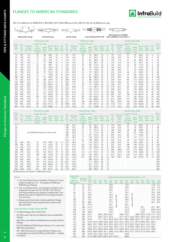# FLANGES TO AMERICAN STANDARDS



413 350 355.6 342.9 339.8 336.6 336.6 333.3 325.4 330.2 317.5 307.9 300.0 292.1 284.2<br>470 400 406.4 393.7 390.6 387.4 387.4 381.0 373.1 381.0 363.5 354.0 344.5 333.3 325.4 470 400 406.4 393.7 390.6 387.4 387.4 381.0 373.1 381.0 363.5 354.0 344.5 333.3 325.4<br>533 450 457.0 444.5 441.4 434.9 438.2 428.7 419.1 431.8 409.5 398.5 387.4 377.9 366.7 533 450 457.0 444.5 441.4 434.9 438.2 428.7 419.1 431.8 409.5 398.5 387.4 377.9 366.7 - 584 500 508.0 495.3 489.0 482.6 489.0 477.8 466.8 482.6 455.6 442.9 431.8 419.1 408.0 596.9 596.6 581.1 590.6 574.6 560.4 584.2 547.7 531.8 517.6 504.9 490.5 692 600 610.0 596.9 590.6 581.1 590.6 574.6 560.4 584.2 547.7 531.8 517.6 504.9 490.5 -

762.0 746.2 736.6 730.2 743.0 1022 900 914.0 898.6 889.0 882.6 895.4 876.3 - 889.0

DN 15 to 600 are to ASME B16.5 (BS1560). DN 750 & 900 are to BS 3293 for Slip-On & Weldneck only.

| C(2)                     |                         | Hom.<br>$ - 0 - -$                           | Ym<br>Y(2)C(2)                           | 0 - سا                          |                        | Tem Ym                                            | $Y(n_{C(2)}$ |                                   | $\Box$ c $\alpha$ y $\alpha$<br>$\circ$      | $V(2)$ $C(2)$                            |                                 |                                              | $\overline{c}$ <sub>(i)</sub> Y <sub>(i)</sub> |    | Ciz) {                 | $-0$ .                                                              | TRan                                                |                                 |                |                                                    |                           |                          |
|--------------------------|-------------------------|----------------------------------------------|------------------------------------------|---------------------------------|------------------------|---------------------------------------------------|--------------|-----------------------------------|----------------------------------------------|------------------------------------------|---------------------------------|----------------------------------------------|------------------------------------------------|----|------------------------|---------------------------------------------------------------------|-----------------------------------------------------|---------------------------------|----------------|----------------------------------------------------|---------------------------|--------------------------|
|                          |                         | <b>Welding Neck Flange</b>                   |                                          |                                 | <b>Threaded Flange</b> |                                                   |              |                                   | Slip-On Flange                               |                                          |                                 | Socket Welding (DN) 15-80                    |                                                |    |                        | <b>Blind Flanges up to DN600</b><br>(Above DN600 see notes below +) |                                                     |                                 |                |                                                    |                           |                          |
|                          |                         |                                              | <b>PN20 (Class 150)</b>                  |                                 |                        |                                                   |              |                                   |                                              | <b>PN50 (Class 300)</b>                  |                                 |                                              |                                                |    |                        |                                                                     | <b>PN100 (Class 600)</b>                            |                                 |                |                                                    |                           |                          |
| Nom.                     | Dia.                    |                                              | Length Thru Hub                          |                                 |                        |                                                   |              | Dia.                              |                                              | Length Thru Hub                          |                                 |                                              |                                                |    | Dia.                   | Thickness                                                           | Length Thru Hub                                     |                                 |                |                                                    |                           | Nom.                     |
| <b>Size</b><br><b>DN</b> | .of<br>Fig.<br>$\Omega$ | <b>Thickness</b><br>of Fig.<br>Min. $C(1)^*$ | Thrd.<br>Slip-On<br>Soc/Weld<br>$Y(1)^*$ | Weld<br><b>Neck</b><br>$Y(1)^*$ | <b>Bolt</b><br>Circle  | Dia. of Dia. of No.<br><b>Bolt</b><br>Holes Bolts | - of         | <sup>of</sup><br>Fig.<br>$\Omega$ | <b>Thickness</b><br>of Fig.<br>Min. $C(1)^*$ | Thrd.<br>Slip-On<br>Soc/Weld<br>$Y(1)^*$ | Weld<br><b>Neck</b><br>$Y(1)^*$ | Dia. of Dia. of No.<br><b>Bolt</b><br>Circle | <b>Bolt</b><br>Holes Bolts                     | of | of<br>Fig.<br>$\Omega$ | of Fig.<br>Min.<br>$C(2)$ <sup>+</sup>                              | Thrd.<br>Slip-On<br>Soc/Weld<br>$Y(2)$ <sup>+</sup> | Weld<br><b>Neck</b><br>$Y(2)$ + | Bolt<br>Circle | Dia. of Dia. of No.<br><b>Bolt</b><br><b>Holes</b> | <u>of</u><br><b>Bolts</b> | <b>Size</b><br><b>DN</b> |
| 15                       | 90                      | 11.5                                         | 16                                       | 48                              | 60.5                   | 16                                                | 4            | 95                                | 14.5                                         | 22                                       | 52                              | 66.5                                         | 16                                             | 4  | 95                     | 14.5                                                                | 22                                                  | 52                              | 66.5           | 16                                                 | 4                         | 15                       |
| 20                       | 100                     | 13.0                                         | 16                                       | 52                              | 70.0                   | 16                                                | 4            | 120                               | 16.0                                         | 25                                       | 57                              | 82.5                                         | 20                                             | 4  | 120                    | 16.0                                                                | 25                                                  | 57                              | 82.5           | 20                                                 | 4                         | 20                       |
| 25                       | 110                     | 14.5                                         | 17                                       | 56                              | 79.5                   | 16                                                | 4            | 125                               | 17.5                                         | 27                                       | 62                              | 89.0                                         | 20                                             | 4  | 125                    | 17.5                                                                | 27                                                  | 62                              | 89.0           | 20                                                 | 4                         | 25                       |
| 32                       | 120                     | 16.0                                         | 21                                       | 57                              | 89.0                   | 16                                                | 4            | 135                               | 19.5                                         | 27                                       | 65                              | 98.5                                         | 20                                             | 4  | 135                    | 21.0                                                                | 29                                                  | 67                              | 98.5           | 20                                                 | 4                         | 32                       |
| 40                       | 130                     | 17.5                                         | 22                                       | 62                              | 98.5                   | 16                                                | 4            | 155                               | 21.0                                         | 30                                       | 68                              | 114.5                                        | 22                                             | 4  | 155                    | 22.5                                                                | 32                                                  | 70                              | 114.5          | 22                                                 | 4                         | 40                       |
| 50                       | 150                     | 19.5                                         | 25                                       | 64                              | 120.5                  | 20                                                | 4            | 165                               | 22.5                                         | 33                                       | 70                              | 127.0                                        | 20                                             | 8  | 165                    | 26.5                                                                | 37                                                  | 73                              | 127.0          | 20                                                 | 8                         | 50                       |
| 65                       | 180                     | 22.5                                         | 29                                       | 70                              | 139.5                  | 20                                                | 4            | 190                               | 25.5                                         | 38                                       | 76                              | 149.0                                        | 22                                             | 8  | 190                    | 29.0                                                                | 41                                                  | 79                              | 149.0          | 22                                                 | 8                         | 65                       |
| 80                       | 190                     | 24.0                                         | 30                                       | 70                              | 152.5                  | 20                                                | 4            | 210                               | 29.0                                         | 43                                       | 79                              | 168.5                                        | 22                                             | 8  | 210                    | 32.0                                                                | 46                                                  | 83                              | 168.5          | 22                                                 | 8                         | 80                       |
| 90                       | 215                     | 24.0                                         | 32                                       | 71                              | 178.0                  | 20                                                | 8            | 230                               | 30.5                                         | 44                                       | 81                              | 184.0                                        | 22                                             | 8  | 230                    | 35.0                                                                | 49                                                  | 86                              | 184.0          | 26                                                 | 8                         | 90                       |
| 100                      | 230                     | 24.0                                         | 33                                       | 76                              | 190.5                  | 20                                                | 8            | 255                               | 32.0                                         | 48                                       | 86                              | 200.0                                        | 22                                             | 8  | 275                    | 38.5                                                                | 54                                                  | 102                             | 216.0          | 26                                                 | 8                         | 100                      |
| 125                      | 255                     | 24.0                                         | 36                                       | 89                              | 216.0                  | 22                                                | 8            | 280                               | 35.0                                         | 51                                       | 98                              | 235.0                                        | 22                                             | 8  | 330                    | 44.5                                                                | 60                                                  | 114                             | 267.0          | 30                                                 | 8                         | 125                      |
| 150                      | 280                     | 25.5                                         | 40                                       | 89                              | 241.5                  | 22                                                | 8            | 320                               | 37.0                                         | 52                                       | 98                              | 270.0                                        | 22                                             | 12 | 355                    | 48.0                                                                | 67                                                  | 117                             | 292.0          | 30                                                 | 12                        | 150                      |
| 200                      | 345                     | 29.0                                         | 44                                       | 102                             | 298.5                  | 22                                                | 8            | 380                               | 41.5                                         | 62                                       | 111                             | 330.0                                        | 26                                             | 12 | 420                    | 55.5                                                                | 76                                                  | 133                             | 349.0          | 33                                                 | 12                        | 200                      |
| 250                      | 405                     | 30.5                                         | 49                                       | 102                             | 362.0                  | 26                                                | 12           | 445                               | 48.0                                         | 67                                       | 117                             | 387.5                                        | 30                                             | 16 | 510                    | 63.5                                                                | 86                                                  | 152                             | 432.0          | 36                                                 | 16                        | 250                      |
| 300                      | 485                     | 32.0                                         | 56                                       | 114                             | 432.0                  | 26                                                | 12           | 520                               | 51.0                                         | 73                                       | 130                             | 451.0                                        | 33                                             | 16 | 560                    | 66.5                                                                | 92                                                  | 156                             | 489.0          | 36                                                 | 20                        | 300                      |
| 350                      | 535                     | 35.0                                         | 57                                       | 127                             | 476.0                  | 30                                                | 12           | 585                               | 54.0                                         | 76                                       | 143                             | 514.5                                        | 33                                             | 20 | 605                    | 70.0                                                                | 94                                                  | 165                             | 527.0          | 39                                                 | 20                        | 350                      |
| 400                      | 600                     | 37.0                                         | 64                                       | 127                             | 540.0                  | 30                                                | 16           | 650                               | 57.5                                         | 83                                       | 146                             | 571.5                                        | 36                                             | 20 | 685                    | 76.5                                                                | 106                                                 | 178                             | 603.0          | 42                                                 | 20                        | 400                      |
| 450                      | 635                     | 40.0                                         | 68                                       | 140                             | 578.0                  | 33                                                | 16           | 710                               | 60.5                                         | 89                                       | 159                             | 628.5                                        | 36                                             | 24 | 745                    | 83.0                                                                | 117                                                 | 184                             | 654.0          | 45                                                 | 20                        | 450                      |
| 500                      | 700                     | 43.0                                         | 73                                       | 145                             | 635.0                  | 33                                                | 20           | 775                               | 63.5                                         | 95                                       | 162                             | 686.0                                        | 36                                             | 24 | 815                    | 89.0                                                                | 127                                                 | 190                             | 724.0          | 45                                                 | 24                        | 500                      |
| 600                      | 815                     | 48.0                                         | 83                                       | 152                             | 749.5                  | 36                                                | 20           | 915                               | 70.0                                         | 106                                      | 168                             | 813.0                                        | 42                                             | 24 | 940                    | 102.0                                                               | 140                                                 | 203                             | 838.0          | 52                                                 | 24                        | 600                      |
| 750                      | 985                     | 54.0‡                                        | 89                                       |                                 | 130.2 914.0            | 35                                                | 28           | 1090                              | 92.0                                         | 210                                      | 210                             | 997.0                                        | 48                                             | 28 | 1130                   | 114.0                                                               | 248                                                 | 248                             | 1022.0         | 54                                                 | 28                        | 750                      |
| 900                      | 1170                    | $60.3*$                                      | 95                                       |                                 | 136.5 1086.0           | 41                                                | 32           | 1270                              | 105.0                                        | 241                                      | 241                             | 1168.0                                       | 54                                             | 32 | 1315                   | 124.0                                                               | 283                                                 | 283                             | 1194.0         | 67                                                 | 28                        | 900                      |
|                          |                         |                                              | $D1A$ <b>LO</b> $(C1,)$ <b>OO</b> $(A1)$ |                                 |                        |                                                   |              |                                   |                                              | $DNIQFA/CI_{max}$ 4 FOOL                 |                                 |                                              |                                                |    |                        |                                                                     | $DNI/20/CL-1200$                                    |                                 |                |                                                    |                           |                          |

|                          |                                   |                                                         | <b>PN150 (Class 900)</b>                 |                                 |                                              |                            |    |                        |                                                  | PN250 (Class 1500)                       |                                 |                       |                                             |                    |                          |                                        | PN420 (Class 2500)                       |                                 |                          |                                                |                             |                          |
|--------------------------|-----------------------------------|---------------------------------------------------------|------------------------------------------|---------------------------------|----------------------------------------------|----------------------------|----|------------------------|--------------------------------------------------|------------------------------------------|---------------------------------|-----------------------|---------------------------------------------|--------------------|--------------------------|----------------------------------------|------------------------------------------|---------------------------------|--------------------------|------------------------------------------------|-----------------------------|--------------------------|
| Nom-<br>inal             | Dia.                              |                                                         | Length Thru Hub                          |                                 |                                              |                            |    | Dia.                   |                                                  | Length Thru Hub                          |                                 |                       |                                             |                    | Dia.                     | <b>Thickness</b>                       | Length Thru Hub                          |                                 |                          |                                                |                             | Nom-<br>inal             |
| <b>Size</b><br><b>DN</b> | <sub>of</sub><br>Fig.<br>$\Omega$ | <b>Thickness</b><br>of Fig.<br>Min. $C(2)$ <sup>+</sup> | Thrd.<br>Slip-On<br>Soc/Weld<br>$Y(2)$ + | Weld<br><b>Neck</b><br>$Y(2)$ + | Dia, of Dia, of No.<br><b>Bolt</b><br>Circle | <b>Bolt</b><br>Holes Bolts | of | οf<br>Fig.<br>$\Omega$ | Thickness<br>of Fig.<br>Min. $C(2)$ <sup>+</sup> | Thrd.<br>Slip-On<br>Soc/Weld<br>$Y(2)$ + | Weld<br><b>Neck</b><br>$Y(2)$ + | <b>Bolt</b><br>Circle | Dia, of Dia, of No.<br><b>Bolt</b><br>Holes | 0f<br><b>Bolts</b> | <b>of</b><br>Fig.<br>O   | of Fig.<br>Min.<br>$C(2)$ <sup>+</sup> | Thrd.<br>Slip-On<br>Soc/Weld<br>$Y(2)$ + | Weld<br><b>Neck</b><br>$Y(2)$ + | <b>Bolt</b><br>Circle    | Dia. of Dia. of<br><b>Bolt</b><br><b>Holes</b> | - No.<br>of<br><b>Bolts</b> | <b>Size</b><br><b>DN</b> |
| 15                       |                                   |                                                         |                                          |                                 |                                              |                            |    | 120                    | 22.5                                             | 32                                       | 60                              | 82.5                  | 22                                          | 4                  | 135                      | 30.5                                   | 40                                       | 73                              | 89.0                     | 22                                             | 4                           | 15                       |
| 20                       |                                   |                                                         |                                          |                                 |                                              |                            |    | 130                    | 25.5                                             | 35                                       | 70                              | 89.0                  | 22                                          | 4                  | 140                      | 32.0                                   | 43                                       | 79                              | 95.0                     | 22                                             | $\overline{4}$              | 20                       |
| 25                       |                                   |                                                         |                                          |                                 |                                              |                            |    | 150                    | 29.0                                             | 41                                       | 73                              | 101.5                 | 26                                          | 4                  | 160                      | 35.0                                   | 48                                       | 89                              | 108.0                    | 26                                             | 4                           | 25                       |
| 32                       |                                   |                                                         | Use PN250 dimensions in these sizes      |                                 |                                              |                            |    | 160                    | 29.0                                             | 41                                       | 73                              | 111.0                 | 26                                          | 4                  | 185                      | 38.5                                   | 52                                       | 95                              | 130.0                    | 30                                             | 4                           | 32                       |
| $40^{1}$                 |                                   |                                                         |                                          |                                 |                                              |                            |    | 180                    | 32.0                                             | 44                                       | 83                              | 124.0                 | 30                                          | 4                  | 205                      | 44.5                                   | 60                                       | 111                             | 146.0                    | 33                                             | 4                           | $40^{1}$                 |
| 50                       |                                   |                                                         |                                          |                                 |                                              |                            |    | 215                    | 38.5                                             | 57                                       | 102                             | 165.0                 | 26                                          | 8                  | 235                      | 51.0                                   | 70                                       | 127                             | 171.5                    | 30                                             | 8                           | 50                       |
| 65                       |                                   |                                                         |                                          |                                 |                                              |                            |    | 245                    | 41.5                                             | 64                                       | 105                             | 190.5                 | 30                                          | 8                  | 270                      | 57.5                                   | 79                                       | 143                             | 197.0                    | 33                                             | 8                           | 65                       |
| 80                       | 240                               | 38.5                                                    | 54                                       | 102                             | 190.5                                        | 26                         | 8  | 270                    | 48.0                                             | 73                                       | 118                             | 203.0                 | 33                                          | 8                  | 305                      | 67.0                                   | 92                                       | 168                             | 228.5                    | 36                                             | 8                           | 80                       |
| 100                      | 295                               | 44.5                                                    | 70                                       | 114                             | 235.0                                        | 32                         | 8  | 310                    | 54.0                                             | 90                                       | 124                             | 241.5                 | 36                                          | 8                  | 355                      | 76.5                                   | 108                                      | 190                             | 273.0                    | 42                                             | 8                           | 100                      |
| 125                      | 350                               | 51.0                                                    | 79                                       | 127                             | 279.5                                        | 35                         | 8  | 375                    | 73.5                                             | 105                                      | 155                             | 292.0                 | 42                                          | 8                  | 420                      | 92.5                                   | 130                                      | 229                             | 324.0                    | 48                                             | 8                           | 125                      |
| 150                      | 380                               | 56.0                                                    | 86                                       | 140                             | 317.5                                        | 32                         | 12 | 395                    | 83.0                                             | 119                                      | 171                             | 317.5                 | 39                                          | 12                 | 485                      | 108.0                                  | 152                                      | 273                             | 368.5                    | 56                                             | 8                           | 150                      |
| 200                      | 470                               | 63.5                                                    | 102                                      | 162                             | 393.5                                        | 39                         | 12 | 485                    | 92.0                                             | 143                                      | 213                             | 393.5                 | 45                                          | 12                 | 550                      | 127.0                                  | 178                                      | 318                             | 438.0                    | 56                                             | 12                          | 200                      |
| 250                      | 545                               | 70.0                                                    | 108                                      | 184                             | 470.0                                        | 39                         | 16 | 585                    | 108.0                                            | 159                                      | 254                             | 482.5                 | 52                                          | 12                 | 675                      | 165.5                                  | 229                                      | 419                             | 539.5                    | 68                                             | 12                          | 250                      |
| 300                      | 610                               | 79.5                                                    | 117                                      | 200                             | 533.5                                        | 39                         | 20 | 675                    | 124.0                                            | 181                                      | 283                             | 571.5                 | 56                                          | 16                 | 760                      | 184.5                                  | 254                                      | 464                             | 619.0                    | 76                                             | 12                          | 300                      |
| 350                      | 640                               | 86.0                                                    | 130                                      | 213                             | 559.0                                        | 42                         | 20 | 750                    | 133.5                                            | $\sim$                                   | 298                             | 635.0                 | 60                                          | 16                 | ٠                        |                                        |                                          |                                 |                          |                                                | $\overline{\phantom{a}}$    | 350                      |
| 400                      | 705                               | 89.0                                                    | 133                                      | 216                             | 616.0                                        | 45                         | 20 | 825                    | 146.5                                            | $\sim$                                   | 311                             | 705.0                 | 68                                          | 16                 | $\overline{\phantom{a}}$ | $\overline{\phantom{a}}$               | $\overline{\phantom{a}}$                 |                                 | $\overline{\phantom{a}}$ | $\overline{\phantom{a}}$                       | $\sim$                      | 400                      |
| 450                      | 785                               | 102.0                                                   | 152                                      | 229                             | 686.0                                        | 52                         | 20 | 915                    | 162.0                                            | $\sim$                                   | 327                             | 774.5                 | 76                                          | 16                 | $\overline{\phantom{a}}$ | $\overline{\phantom{a}}$               | $\overline{\phantom{a}}$                 | $\sim$                          | $\overline{\phantom{a}}$ | $\overline{\phantom{a}}$                       | $\sim$                      | 450                      |
| 500                      | 855                               | 108.0                                                   | 159                                      | 248                             | 749.5                                        | 54                         | 20 | 985                    | 178.0                                            | $\sim$                                   | 356                             | 832.0                 | 80                                          | 16                 | $\overline{\phantom{a}}$ |                                        | $\overline{\phantom{a}}$                 | $\overline{\phantom{a}}$        | $\overline{\phantom{a}}$ | $\overline{\phantom{a}}$                       | $\sim$                      | 500                      |
| 600                      | 1040                              | 140.0                                                   | 203                                      | 292                             | 901.5                                        | 68                         | 20 | 1170                   | 203.5                                            |                                          | 406                             | 990.5                 | 94                                          | 16                 |                          |                                        |                                          |                                 |                          |                                                |                             | 600                      |

All dimensions are shown in millimetres (mm)

#### Notes:

- 1. The 2mm Raised Face is included in thickness length through hub Y(1). This applies to PN2 PN50 Pressure Ratings.
- † 2. The 7mm Raised Face is not included in thicke and length through hub  $Y(2)$ . PN100, 150, 25 420 Pressure Ratings are regularly furnished w Raised Face which is additional to the flange  $C(2)$  and  $Y(2)$ .
- 3. Always specify bore when ordering weldneck Bore dimensions shown opposite also provide pipe diameters.

#### Large Diameter Flanges above DN 600

- ‡ For Blind Flanges refer to MSS SP44.
	- BS 3293 covers Slip-On and Weldneck but excludes **Flanges**
	- MSS SP44 covers Blind and Weldneck but excludes Slip-On Flanges.
	- BS 3293 Weldneck PN20 flange thickness, C(1), is less than MSS SP44 equivalents.

API - 605 Dimensions for Large Diameter Flanges vary considerably from both BS 3293 and MSS SP44 — Details on request.

| ⊣⊃        | ŽV          | ັບເປ | .                           |         | <u>.</u>           | 10.0                     | vu         | . .                      |                          |                  |                          |                                                                   |              |                          |                          |                          |                               | ⊣∪⊽               |
|-----------|-------------|------|-----------------------------|---------|--------------------|--------------------------|------------|--------------------------|--------------------------|------------------|--------------------------|-------------------------------------------------------------------|--------------|--------------------------|--------------------------|--------------------------|-------------------------------|-------------------|
| 52        | 20          | 915  | 162.0                       | ٠       | 327                | 774.5                    | 76         | 16                       | $\overline{\phantom{a}}$ |                  | $\overline{a}$           | ٠                                                                 |              | $\overline{\phantom{a}}$ | $\overline{a}$           | ٠                        | ٠                             | 450               |
| 54        | 20          | 985  | 178.0                       | ٠       | 356                | 832.0                    | 80         | 16                       | ٠                        |                  |                          | $\overline{a}$                                                    |              | $\overline{a}$           |                          | $\overline{a}$           |                               | 500               |
| 68        | 20          | 1170 | 203.5                       | ٠       | 406                | 990.5                    | 94         | 16                       | ÷,                       |                  |                          | ÷                                                                 |              | ä,                       |                          |                          | ٠                             | 600               |
|           |             |      |                             |         |                    |                          |            |                          |                          |                  |                          |                                                                   |              |                          |                          |                          |                               |                   |
|           |             |      | <b>Raised Face</b><br>Diam. | Nominal | O.D.<br>$\alpha$ f |                          |            |                          |                          |                  |                          | Approximate Welding Neck Flange Bores - mm                        |              |                          |                          |                          |                               |                   |
| 0 and     | $C(1)$ and  |      | All Press.<br>Ratings mm    | Size DN | Pipe<br>mm         | SCH.<br>10               | SCH.<br>20 | SCH.<br>30               | WT.                      | SCH.<br>$40^{1}$ | SCH.<br>60               | FXT.<br>STG.                                                      | SCH.<br>80   | SCH.<br>100              | SCH.<br>120              | <b>SCH</b><br>140        | SCH.<br>160                   | X.X<br><b>STG</b> |
|           |             |      | 35                          | 15      | 21.3               | $\overline{\phantom{a}}$ | ٠          | $\overline{\phantom{a}}$ | 15.8                     |                  | $\overline{\phantom{a}}$ | 13.9                                                              |              | $\overline{\phantom{a}}$ | $\overline{\phantom{a}}$ | $\overline{\phantom{a}}$ | 11.8                          | 6.4               |
|           | ness C(2)   |      | 43                          | 20      | 26.7               | $\overline{\phantom{a}}$ | ٠          | ٠                        | 20.9                     |                  | $\overline{\phantom{a}}$ | 18.9                                                              |              | $\overline{\phantom{a}}$ | $\overline{\phantom{a}}$ | $\overline{\phantom{a}}$ | 15.5                          | 11.0              |
| 0 and     |             |      | 51                          | 25      | 33.4               | ÷                        | ٠          | $\overline{\phantom{a}}$ | 26.6                     |                  | $\overline{\phantom{a}}$ | 24.3                                                              |              | $\overline{\phantom{a}}$ | $\overline{\phantom{a}}$ | ٠                        | 20.7                          | 15.2              |
|           | vith 7mm    |      | 64                          | 32      | 42.2               | $\overline{\phantom{a}}$ | ×,         | ÷                        | 35.1                     |                  | $\overline{\phantom{0}}$ | 32.5                                                              |              | $\overline{\phantom{a}}$ | ٠                        | $\overline{\phantom{a}}$ | 29.5                          | 22.8              |
|           | thickness   |      | 73                          | 40      | 48.3               | $\overline{\phantom{a}}$ | ٠          | ÷                        | 40.9                     |                  | $\overline{\phantom{a}}$ | 38.1                                                              | STG.         | $\overline{\phantom{a}}$ | ۰.                       | $\overline{\phantom{a}}$ | 34.0                          | 27.9              |
|           |             |      | 92                          | 50      | 60.3               | $\overline{\phantom{a}}$ | ×,         | ÷                        | 52.5                     | STD. WT          | $\overline{a}$           | 49.2                                                              |              | ٠                        | ٠                        | ٠                        | 42.9                          | 38.2              |
| flanges.  |             |      | 105                         | 65      | 73.0               | $\overline{\phantom{a}}$ | ٠          | $\overline{\phantom{a}}$ | 62.7                     |                  | $\overline{\phantom{a}}$ | 59.0                                                              | Same as EXT. | ٠                        | ۰.                       | $\overline{\phantom{a}}$ | 54.0                          | 45.0              |
| inside    |             |      | 127                         | 80      | 88.9               | $\overline{\phantom{a}}$ | ×,         | ÷                        | 77.9                     | g                | $\overline{\phantom{0}}$ | 73.7                                                              |              | ٠                        | ٠                        | $\overline{a}$           | 66.7                          | 58.4              |
|           |             |      | 140                         | 90      | 101.6              | ÷                        | ٠          | ٠                        | 90.1                     | Same             | $\overline{\phantom{a}}$ | 85.4                                                              |              | ٠                        | ٠                        | ٠                        |                               |                   |
|           |             |      | 157                         | 100     | 114.3              | $\overline{\phantom{a}}$ | ٠          | $\overline{a}$           | 102.3                    |                  | $\overline{a}$           | 97.2                                                              |              | ٠                        | 92.1                     | $\overline{\phantom{a}}$ | 87.3                          | 80.1              |
|           |             |      | 186                         | 125     | 141.3              | $\overline{\phantom{a}}$ | ×,         | $\overline{\phantom{a}}$ | 128.2                    |                  | $\overline{\phantom{0}}$ | 122.3                                                             |              | $\overline{\phantom{a}}$ | 115.9                    | $\overline{\phantom{a}}$ | 109.6                         | 103.2             |
|           |             |      | 216                         | 150     | 168.3              | $\overline{\phantom{a}}$ |            | $\overline{\phantom{a}}$ | 154.1                    |                  |                          | 146.3                                                             |              | ٠                        | 139.7                    |                          | 131.8                         | 124.4             |
| des Blind |             |      | 270                         | 200     | 219.1              | $\overline{\phantom{a}}$ | 206.4      | 205.0                    | 202.7                    |                  |                          | 198.5 193.7                                                       |              | 188.9                    | 182.6                    | 177.8                    | 173.1                         | 174.6             |
|           |             |      | 324                         | 250     | 273.1              | $\overline{\phantom{0}}$ | 260.3      | 257.5 254.5              |                          |                  |                          | 247.7 247.7 242.9                                                 |              |                          |                          |                          | 236.5 230.2 222.3 215.9 222.3 |                   |
|           | les Slip-On |      | 381                         | 300     | 323.9              |                          | 311.1      | 307.1                    |                          | 304.8 303.2      |                          | 295.3 298.5 288.9 281.0 273.1                                     |              |                          |                          |                          | 266.7 257.2 273.1             |                   |
|           |             |      | 413                         | 350     | 355.6              |                          |            |                          |                          |                  |                          | 342.9 339.8 336.6 336.6 333.3 325.4 330.2 317.5 307.9 300.0 292.1 |              |                          |                          |                          | 284.2                         |                   |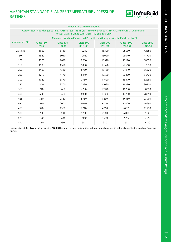# AMERICAN STANDARD FLANGES TEMPERATURE / PRESSURE RATINGS



|                  | <b>Temperature / Pressure Ratings</b><br>Carbon Steel Pipe Flanges to ANSI / ASME 16.5 - 1988 (BS 1560) Forgings to ASTM A105 and A350 - LF2 Forgings |                                                                              |                                                  |                      |                              |                              |  |  |  |  |  |  |  |  |
|------------------|-------------------------------------------------------------------------------------------------------------------------------------------------------|------------------------------------------------------------------------------|--------------------------------------------------|----------------------|------------------------------|------------------------------|--|--|--|--|--|--|--|--|
|                  |                                                                                                                                                       |                                                                              | to ASTM A181 Grade II for Class 150 and 300 Only |                      |                              |                              |  |  |  |  |  |  |  |  |
|                  |                                                                                                                                                       | Maximum Working Pressure in kPa by Classes (for approximate PSI divide by 7) |                                                  |                      |                              |                              |  |  |  |  |  |  |  |  |
| Temperature (°C) | Class 150<br>(PN20)                                                                                                                                   | Class 300<br>(PN50)                                                          | Class 600<br>(PN100)                             | Class 900<br>(PN150) | <b>Class 1500</b><br>(PN250) | <b>Class 2500</b><br>(PN420) |  |  |  |  |  |  |  |  |
| -29 to 38        | 1960                                                                                                                                                  | 5110                                                                         | 10210                                            | 15320                | 25530                        | 42550                        |  |  |  |  |  |  |  |  |
| 50               | 1920                                                                                                                                                  | 5010                                                                         | 10020                                            | 15020                | 25040                        | 41730                        |  |  |  |  |  |  |  |  |
| 100              | 1770                                                                                                                                                  | 4640                                                                         | 9280                                             | 13910                | 23190                        | 38650                        |  |  |  |  |  |  |  |  |
| 150              | 1580                                                                                                                                                  | 4520                                                                         | 9050                                             | 13570                | 22610                        | 37690                        |  |  |  |  |  |  |  |  |
| 200              | 1400                                                                                                                                                  | 4380                                                                         | 8760                                             | 13150                | 21910                        | 36520                        |  |  |  |  |  |  |  |  |
| 250              | 1210                                                                                                                                                  | 4170                                                                         | 8340                                             | 12520                | 20860                        | 34770                        |  |  |  |  |  |  |  |  |
| 300              | 1020                                                                                                                                                  | 3870                                                                         | 7750                                             | 11620                | 19370                        | 32280                        |  |  |  |  |  |  |  |  |
| 350              | 840                                                                                                                                                   | 3700                                                                         | 7390                                             | 11090                | 18480                        | 30800                        |  |  |  |  |  |  |  |  |
| 375              | 740                                                                                                                                                   | 3650                                                                         | 7290                                             | 10940                | 18230                        | 30390                        |  |  |  |  |  |  |  |  |
| 400              | 650                                                                                                                                                   | 3450                                                                         | 6900                                             | 10350                | 17250                        | 28750                        |  |  |  |  |  |  |  |  |
| 425              | 560                                                                                                                                                   | 2880                                                                         | 5750                                             | 8630                 | 14380                        | 23960                        |  |  |  |  |  |  |  |  |
| 450              | 470                                                                                                                                                   | 2000                                                                         | 4010                                             | 6010                 | 10020                        | 16690                        |  |  |  |  |  |  |  |  |
| 475              | 370                                                                                                                                                   | 1350                                                                         | 2710                                             | 4060                 | 6770                         | 11290                        |  |  |  |  |  |  |  |  |
| 500              | 280                                                                                                                                                   | 880                                                                          | 1760                                             | 2640                 | 4400                         | 7330                         |  |  |  |  |  |  |  |  |
| 525              | 190                                                                                                                                                   | 520                                                                          | 1040                                             | 1550                 | 2590                         | 4320                         |  |  |  |  |  |  |  |  |
| 540              | 130                                                                                                                                                   | 330                                                                          | 650                                              | 980                  | 1630                         | 2720                         |  |  |  |  |  |  |  |  |

Flanges above 600 NPA are not included in ANSI B16.5 and the class designations in these large diameters do not imply specific temperature / pressure ratings.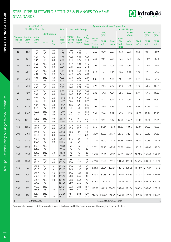# STEEL PIPE, BUTTWELD FITTINGS & FLANGES TO ASME **STANDARDS**



|                                                         |             | <b>ASME B36.10</b>           |                |                                                         |                              |                                          |                               |                                            |                                             |                            |                       | <b>Approximate Mass of Popular Sizes</b>    |                      |                                                           |                       |                       |
|---------------------------------------------------------|-------------|------------------------------|----------------|---------------------------------------------------------|------------------------------|------------------------------------------|-------------------------------|--------------------------------------------|---------------------------------------------|----------------------------|-----------------------|---------------------------------------------|----------------------|-----------------------------------------------------------|-----------------------|-----------------------|
|                                                         |             | <b>Steel Pipe Dimensions</b> |                |                                                         | Pipe                         |                                          | <b>Buttweld Fittings</b>      |                                            |                                             |                            |                       |                                             | A.S.M.E Flanges      |                                                           |                       |                       |
|                                                         |             |                              | Identification |                                                         |                              |                                          |                               |                                            |                                             | <b>PN20</b><br>(150)       |                       |                                             | <b>PN50</b><br>(300) |                                                           | <b>PN100</b><br>(600) | <b>PN150</b><br>(900) |
| Nominal Outside Inside<br><b>Pipe Size</b><br><b>DN</b> | Diam.<br>mm | Diam.<br>mm                  | Std. X.S       | Sch.<br>No.                                             | <b>Steel</b><br>Pipe<br>kg/m | $90^\circ$ L/R<br><b>Elbows</b><br>kg/ea | <b>Tees</b><br>Equal<br>kg/ea | Con.<br>& Ecc.<br>Red.<br>kg/ea            | SOW/<br><b>SW</b><br><b>Thrded</b><br>kg/ea | W/N<br>kg/ea               | <b>Blind</b><br>kg/ea | SOW/<br><b>SW</b><br><b>Thrded</b><br>kg/ea | W/N<br>kg/ea         | <b>Blind</b><br>kg/ea                                     | W/N<br>kg/ea          | W/N<br>kg/ea          |
| 15                                                      | 21.3        | 15.8<br>13.9                 | Std.<br>XS     | 40<br>80                                                | 1.27<br>1.62                 | 0.08<br>0.10                             | 0.16<br>0.21                  | $\bar{\gamma}$<br>$\overline{\phantom{a}}$ | 0.45                                        | 0.79                       | 0.57                  | 0.73                                        | 0.91                 | 0.79                                                      | 0.91                  | 2.00                  |
| 20                                                      | 26.7        | 20.9<br>18.9                 | Std.<br>XS     | 40<br>80                                                | 1.69<br>2.20                 | 0.08<br>0.11                             | 0.21<br>0.27                  | 0.07<br>0.10                               | 0.68                                        | 0.86                       | 0.91                  | 1.25                                        | 1.41                 | 1.13                                                      | 1.59                  | 2.72                  |
| 25                                                      | 33.4        | 26.6<br>24.3                 | Std.<br>XS     | 40<br>80                                                | 2.50<br>3.24                 | 0.17<br>0.21                             | 0.34<br>0.43                  | 0.14<br>0.18                               | 0.95                                        | 1.09                       | 1.09                  | 1.36                                        | 1.81                 | 1.77                                                      | 1.86                  | 3.86                  |
| 32                                                      | 42.2        | 35.1<br>32.5                 | Std.<br>XS     | 40<br>80                                                | 3.39<br>4.47                 | 0.28<br>0.39                             | 0.64<br>0.75                  | 0.18<br>0.23                               | 1.13                                        | 1.41                       | 1.25                  | 2.04                                        | 2.27                 | 2.68                                                      | 2.72                  | 4.54                  |
| 40                                                      | 48.3        | 40.9<br>38.1                 | Std.<br>XS     | 40<br>80                                                | 4.05<br>5.41                 | 0.39<br>0.50                             | 0.95<br>1.13                  | 0.27<br>0.32                               | 1.36                                        | 1.81                       | 1.70                  | 2.81                                        | 3.06                 | 2.83                                                      | 3.74                  | 6.35                  |
| 50                                                      | 60.3        | 52.5<br>49.2                 | Std.<br>XS     | 40<br>80                                                | 5.44<br>7.48                 | 0.68<br>1.00                             | 1.45<br>1.72                  | 0.41<br>0.54                               | 2.22                                        | 2.83                       | 2.77                  | 3.13                                        | 3.74                 | 3.52                                                      | 4.65                  | 10.89                 |
| 65                                                      | 73.0        | 62.7<br>59.0                 | Std.<br>XS     | 40<br>80                                                | 8.63<br>11.41                | 1.39<br>1.82                             | 2.45<br>2.95                  | 0.68<br>0.91                               | 3.82                                        | 4.42                       | 4.04                  | 4.54                                        | 5.56                 | 5.44                                                      | 6.44                  | 16.33                 |
| 80                                                      | 88.9        | 77.9<br>73.7                 | Std.<br>XS     | 40<br>80                                                | 11.29<br>15.27               | 2.18<br>2.86                             | 3.45<br>4.30                  | 0.91<br>1.27                               | 4.08                                        | 5.22                       | 5.44                  | 6.12                                        | 7.37                 | 7.26                                                      | 8.50                  | 14.51                 |
| 90                                                      | 101.6       | 90.1<br>85.4                 | Std.<br>XS     | 40<br>80                                                | 13.57<br>18.63               | 3.05<br>4.1                              | 4.5<br>5.9                    | 1.36<br>1.81                               | 4.99                                        | 5.44                       | 6.35                  | 7.71                                        | 9.53                 | 9.98                                                      | 12.25                 |                       |
| 100                                                     | 114.3       | 102.3<br>97.2                | Std.<br>XS     | 40<br>80                                                | 16.07<br>22.32               | 4.2<br>5.7                               | 5.7<br>7.3                    | 1.59<br>2.18                               | 5.94                                        | 7.48                       | 7.37                  | 9.53                                        | 11.79                | 11.79                                                     | 17.24                 | 23.13                 |
| 125                                                     | 141.3       | 128.2<br>122.3               | Std.<br>XS     | 40<br>80                                                | 21.77<br>30.97               | 6.8<br>10.0                              | 9.1<br>11.8                   | 2.7<br>3.8                                 | 6.12                                        | 9.53                       | 9.07                  | 12.70                                       | 15.42                | 15.88                                                     | 30.84                 | 39.01                 |
| 150                                                     | 168.3       | 154.1<br>146.3               | Std.<br>XS     | 40<br>80                                                | 28.26<br>42.56               | 10.9<br>16.3                             | 13.6<br>19.0                  | 3.9<br>5.4                                 | 8.16                                        | 11.34                      | 12.70                 | 16.33                                       | 19.96                | 20.87                                                     | 34.02                 | 49.90                 |
| 200                                                     | 219.1       | 202.7<br>193.7               | Std.<br>XS     | 40<br>80                                                | 42.55<br>64.64               | 21.8<br>33.1                             | 25<br>33.5                    | 5.9<br>8.6                                 | 12.70                                       | 19.05                      | 21.77                 | 25.40                                       | 32.21                | 38.10                                                     | 52.16                 | 84.82                 |
| 250                                                     | 273.1       | 254.5<br>247.7               | Std.<br>XS     | 40<br>60                                                | 60.31<br>81.55               | 38.6<br>52                               | 41<br>54                      | 10<br>14                                   | 17.24                                       | 25.40                      | 31.75                 | 35.38                                       | 44.00                | 53.34                                                     | 90.36                 | 121.56                |
| 300                                                     | 323.9       | 304.8<br>298.5               | Std.<br>XS     | $\mathcal{L}_{\mathcal{A}}$<br>$\overline{\phantom{a}}$ | 73.88<br>97.46               | 57<br>75                                 | 57<br>77                      | 15<br>20                                   | 27.22                                       | 38.10                      | 45.36                 | 50.80                                       | 64.41                | 86.18                                                     | 101.60                | 168.74                |
| 350                                                     | 355.6       | 336.6<br>330.2               | Std.<br>XS     | 30<br>$\overline{\phantom{a}}$                          | 81.33<br>107.39              | 73<br>97                                 | 73<br>93                      | 28<br>37                                   | 35.38                                       | 51.26                      | 58.97                 | 74.39                                       | 84.37                | 107.05                                                    |                       | 157.40 254.92         |
| 400                                                     | 406.4       | 387.4<br>381.0               | Std.<br>XS     | 30<br>40                                                | 93.27<br>123.30              | 98<br>130                                | 91<br>120                     | 35<br>46                                   | 42.18                                       | 63.50                      | 77.11                 |                                             | 101.60 111.58        | 145.15                                                    | 209.11                | 310.71                |
| 450                                                     | 457         | 438.2<br>431.8               | Std.<br>XS     | $\overline{\phantom{a}}$<br>$\overline{\phantom{a}}$    | 105.16<br>139.15             | 120<br>165                               | 135<br>190                    | 40<br>53                                   | 52.62                                       | 68.04                      |                       | 102.51 126.10 138.35                        |                      | 181.89                                                    | 217.27                | 419.12                |
| 500                                                     | 508         | 489.0<br>482.6               | Std.<br>XS     | 20<br>30                                                | 117.15<br>155.12             | 150<br>200                               | 168<br>245                    | 61<br>82                                   | 65.32                                       | 81.65                      |                       | 123.38 149.69 174.63                        |                      | 231.33                                                    | 312.98                | 527.98                |
| 600                                                     | 610         | 590.6<br>584.2               | Std.<br>XS     | 20<br>$\overline{\phantom{a}}$                          | 141.12<br>187.06             | 220<br>280                               | 240<br>350                    | 77<br>95                                   | 91.63                                       |                            |                       | 118.84 203.21 222.26 247.21                 |                      | 342.92                                                    | 443.16                | 680.39                |
| 750                                                     | 762         | 743.0<br>736.6               | Std.<br>XS     | $\mathbb{Z}^2$<br>20                                    | 176.84<br>234.67             | 332<br>440                               | 388<br>484                    | 107<br>143                                 |                                             |                            |                       | 142.88 163.29 326.59 367.41                 | 421.84               | 680.39                                                    | 589.67                | 975.22                |
| 900                                                     | 914         | 895.4<br>889.0               | Std.<br>XS     | $\overline{\phantom{a}}$<br>20                          | 212.56<br>282.27             | 481<br>638                               | 588<br>731                    | 129<br>172                                 |                                             |                            |                       |                                             |                      | 217.72 235.87 510.29 544.31 589.67 1031.92 793.79 1564.89 |                       |                       |
|                                                         |             | DIMENSIONS                   |                |                                                         |                              |                                          |                               |                                            |                                             | – MASS IN KILOGRAMS (kg) — |                       |                                             |                      |                                                           |                       |                       |

Approximate mass per unit for austenitic stainless steel pipe and fittings can be obtained by applying a factor of 1.015.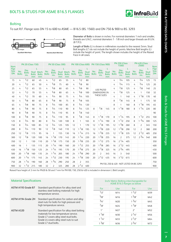

# Bolting

To suit R.F. Flange sizes DN 15 to 600 to ASME — B16.5 (BS. 1560) and DN 750 & 900 to BS. 3293



Diameter of Bolts is shown in inches. For nominal diameters 1 inch and smaller, threads are U.N.C.; nominal diameters 1 - 1/8 inch and larger threads are 8 U.N. (8 T.P.I).

Length of Bolts (L) is shown in millimetres rounded to the nearest 5mm. Stud Bolt lengths (L\*) do not include the height of points. Machine Bolt lengths (L) include the height of point. The length shown includes the height of the Raised Face in all cases.

| <b>Nom</b>                              |                     | <b>PN 20 (Class 150)</b>     |                    |                                  |                     | <b>PN 50 (Class 300)</b>     |                    |                                  |                     |                              |                                   |                                                  |                              | PN 250 (Class<br>PN 420 (Class<br>PN 100 (Class 600) PN 150 (Class 900)<br>1500)<br>2500) |                     |                                          |                                   |                     |                              | <b>Nom</b>                 |                                  |
|-----------------------------------------|---------------------|------------------------------|--------------------|----------------------------------|---------------------|------------------------------|--------------------|----------------------------------|---------------------|------------------------------|-----------------------------------|--------------------------------------------------|------------------------------|-------------------------------------------------------------------------------------------|---------------------|------------------------------------------|-----------------------------------|---------------------|------------------------------|----------------------------|----------------------------------|
| <b>Flge</b><br><b>Size</b><br><b>DN</b> | No.<br><b>Bolts</b> | Dia.<br><b>Bolts</b><br>ins. | <b>Bolts</b><br>mm | Stud Mach.<br><b>Bolts</b><br>mm | No.<br><b>Bolts</b> | Dia.<br><b>Bolts</b><br>ins. | <b>Bolts</b><br>mm | Stud Mach.<br><b>Bolts</b><br>mm | No.<br><b>Bolts</b> | Dia.<br><b>Bolts</b><br>ins. | <b>Stud</b><br><b>Bolts</b><br>mm | No.<br><b>Bolts</b>                              | Dia.<br><b>Bolts</b><br>ins. | <b>Stud</b><br><b>Bolts</b><br>mm                                                         | No.<br><b>Bolts</b> | Dia.<br><b>Bolts</b><br>ins.             | <b>Stud</b><br><b>Bolts</b><br>mm | No.<br><b>Bolts</b> | Dia.<br><b>Bolts</b><br>ins. | Stud<br><b>Bolts</b><br>mm | Flge<br><b>Size</b><br><b>DN</b> |
| 15                                      | 4                   | 1/2                          | 60                 | 45                               | 4                   | 1/2                          | 65                 | 55                               | 4                   | 1/2                          | 80                                |                                                  |                              |                                                                                           | 4                   | 3/4                                      | 105                               | 4                   | 3/4                          | 125                        | 15                               |
| 20                                      | 4                   | $1_{12}$                     | 65                 | 50                               | 4                   | 5/8                          | 75                 | 60                               | 4                   | 5/8                          | 90                                |                                                  |                              |                                                                                           | 4                   | 3/4                                      | 115                               | 4                   | 3/4                          | 125                        | 20                               |
| 25                                      | 4                   | 1/2                          | 65                 | 55                               | 4                   | 5/8                          | 80                 | 65                               | 4                   | 5/8                          | 90                                |                                                  | USE PN250                    |                                                                                           | 4                   | 7/8                                      | 125                               | 4                   | 7/8                          | 140                        | 25                               |
| 32                                      | 4                   | 1/2                          | 70                 | 55                               | 4                   | 5/8                          | 80                 | 65                               | 4                   | 5/8                          | 100                               |                                                  | <b>DIMENSIONS IN</b>         |                                                                                           | 4                   | 7/8                                      | 125                               | 4                   | $\mathbf{1}$                 | 150                        | 32                               |
| 40                                      | 4                   | 1/2                          | 70                 | 60                               | 4                   | 3/4                          | 90                 | 75                               | 4                   | 3/4                          | 105                               |                                                  | THESE SIZES                  |                                                                                           | 4                   | 1                                        | 140                               | 4                   | $1^{1/8}$                    | 170                        | 40                               |
| 50                                      | 4                   | 5/8                          | 80                 | 65                               | 8                   | 5/8                          | 90                 | 75                               | 8                   | 5/8                          | 105                               |                                                  |                              |                                                                                           | 8                   | 7/8                                      | 145                               | 8                   | $\mathbf{1}$                 | 175                        | 50                               |
| 65                                      | 4                   | 5/8                          | 90                 | 75                               | 8                   | 3/4                          | 100                | 85                               | 8                   | 3/4                          | 120                               |                                                  |                              |                                                                                           | 8                   | 1                                        | 160                               | 8                   | $1^{1/8}$                    | 195                        | 65                               |
| 80                                      | 4                   | 5/8                          | 90                 | 75                               | 8                   | 3/4                          | 110                | 90                               | 8                   | 3/4                          | 125                               | 8                                                | 7/8                          | 145                                                                                       | 8                   | $1^{1/8}$                                | 180                               | 8                   | $1^{1/4}$                    | 220                        | 80                               |
| 90                                      | 8                   | 5/8                          | 90                 | 75                               | 8                   | 3/4                          | 110                | 95                               | 8                   | 7/8                          | 140                               | $\sim$                                           |                              |                                                                                           |                     |                                          |                                   |                     |                              |                            | 90                               |
| 100                                     | 8                   | 5/8                          | 90                 | 75                               | 8                   | 3/4                          | 110                | 95                               | 8                   | 7/8                          | 145                               | 8                                                | $1^{1/8}$                    | 170                                                                                       | 8                   | $1^{1/4}$                                | 195                               | 8                   | $1^{1/2}$                    | 255                        | 100                              |
| 125                                     | 8                   | 3/4                          | 90                 | 80                               | 8                   | 3/4                          | 120                | 100                              | 8                   | $\mathbf{1}$                 | 165                               | 8                                                | $1^{1/4}$                    | 190                                                                                       | 8                   | $1^{1/2}$                                | 250                               | 8                   | $1 - \frac{3}{4}$            | 300                        | 125                              |
| 150                                     | 8                   | 3/4                          | 100                | 85                               | 12                  | 3/4                          | 125                | 105                              | 12                  | $\mathbf{1}$                 | 170                               | 12                                               | $1^{1/8}$                    | 195                                                                                       | 12                  | $1 \frac{3}{8}$                          | 260                               | 8                   | 2                            | 345                        | 150                              |
| 200                                     | 8                   | 3/4                          | 110                | 90                               | 12                  | 7/8                          | 140                | 110                              | 12                  | $1^{1/8}$                    | 195                               | 12                                               | $1 \frac{3}{8}$              | 220                                                                                       | 12                  | $1\frac{5}{8}$                           | 290                               | 12                  | 2                            | 380                        | 200                              |
| 250                                     | 12                  | 7/8                          | 115                | 95                               | 16                  | $\mathbf{1}$                 | 155                | 130                              | 16                  | $1^{1/4}$                    | 215                               | 16                                               | $1 \frac{3}{8}$              | 235                                                                                       | 12                  | $1^{7}/8$                                | 335                               | 12                  | $2^{1/2}$                    | 485                        | 250                              |
| 300                                     | 12                  | 7/8                          | 120                | 100                              | 16                  | $1^{1/8}$                    | 170                | 145                              | 20                  | $1^{1/4}$                    | 220                               | 20                                               | $1 \frac{3}{8}$              | 255                                                                                       | 16                  | $\overline{2}$                           | 375                               | 12                  | $2^{3/4}$                    | 540                        | 300                              |
| 350                                     | 12                  | 1                            | 130                | 110                              | 20                  | $1^{1/8}$                    | 175                | 150                              | 20                  | $1 \frac{3}{8}$              | 235                               | 20                                               | $1^{1/2}$                    | 275                                                                                       | 16                  | $2^{1/4}$                                | 405                               |                     |                              |                            | 350                              |
| 400                                     | 16                  | 1                            | 135                | 115                              | 20                  | $1^{1/4}$                    | 190                | 160                              | 20                  | $1^{1/2}$                    | 255                               | 20                                               | $1\frac{5}{8}$               | 285                                                                                       | 16                  | $2^{1/2}$                                | 445                               |                     |                              |                            | 400                              |
| 450                                     | 16                  | $1^{1/8}$                    | 150                | 125                              | 24                  | $1^{1/4}$                    | 195                | 170                              | 20                  | $1\frac{5}{8}$               | 275                               | 20                                               | $1^{7}/8$                    | 325                                                                                       | 16                  | $2^{3/4}$                                | 495                               |                     |                              |                            | 450                              |
| 500                                     | 20                  | $1^{1/8}$                    | 160                | 135                              | 24                  | $1^{1/4}$                    | 205                | 180                              | 24                  | $1\frac{5}{8}$               | 290                               | 20                                               | 2                            | 345                                                                                       | 16                  | 3                                        | 540                               |                     |                              |                            | 500                              |
| 600                                     | 20                  | $1^{1/4}$                    | 175                | 145                              | 24                  | $1^{1/2}$                    | 230                | 195                              | 24                  | $1^{7}/8$                    | 330                               | $2^{1/2}$<br>$3^{1/2}$<br>20<br>435<br>16<br>615 |                              |                                                                                           |                     |                                          |                                   |                     | 600                          |                            |                                  |
| 750                                     | 28                  | $1^{1/4}$                    | 190                | 160                              | 28                  | $1^3/4$                      | 290                | 250                              | 28                  | $\overline{2}$               | 355                               |                                                  |                              |                                                                                           |                     |                                          |                                   |                     |                              |                            | 750                              |
| 900                                     | 32                  | $1^{1/2}$                    | 215                | 180                              | 32                  | $\overline{2}$               | 325                | 280                              | 28                  | $2^{1/2}$                    | 400                               |                                                  |                              |                                                                                           |                     | PN150, 250 & 420 - NOT LISTED IN BS 3293 |                                   |                     |                              |                            | 900                              |

Raised Face height of 2 mm for PN20 & 50 and 7 mm for PN100, 150, 250 & 420 is included in dimension L (Bolt Length).

#### Material Specifications

| ASTM A193 Grade B7 | Standard specification for alloy steel and<br>stainless steel bolting materials for high<br>temperature service.                                                                                        |
|--------------------|---------------------------------------------------------------------------------------------------------------------------------------------------------------------------------------------------------|
| ASTM A194 Grade 2H | Standard specification for carbon and alloy<br>steel nuts for bolts for high pressure and<br>high temperature service.                                                                                  |
| ASTM A320          | Standard specification for alloy steel bolting<br>materials for low temperature service.<br>Grade L7 covers alloy steel stud bolts.<br>Grade L4 covers alloy steel nuts to suit<br>Grade L7 stud bolts. |

#### Inch/ Metric Bolting interchangeable for ASME B16.5 flanges as below

| For             | Use             | For            | Use |
|-----------------|-----------------|----------------|-----|
| $1/2$ "         | M14             | $1^{1/2"}$     | M39 |
| $5/8$ "         | M <sub>16</sub> | $1\frac{5}{8}$ | M42 |
| 3/4"            | M20             | $1^3/4$        | M45 |
| 7/8             | M24             | $1^{7}/8$ "    | M48 |
| 1"              | M27             | 2"             | M52 |
| $1^{1}/8$ "     | M30             | $2^{1/4}$      | M56 |
| $1^{1/4}$       | M33             | $2^{1/2"}$     | M64 |
| $1 \frac{3}{8}$ | M36             | $2^{3/4"}$     | M72 |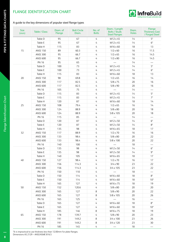# FLANGE IDENTIFICATION CHART



#### A guide to the key dimensions of popular steel flange types

| <b>Size</b><br>(mm) | <b>Table / Class</b>               | Diam. of<br>Flange | <b>Bolt Circle</b><br>Diam. | No. of<br><b>Bolts</b> | Diam. / Length<br><b>Bolts / Studs</b><br><b>Steel Flanges</b> | Diam.<br><b>Holes</b> | Flange<br><b>Thickness Cast</b><br>/ Forged Steel |
|---------------------|------------------------------------|--------------------|-----------------------------|------------------------|----------------------------------------------------------------|-----------------------|---------------------------------------------------|
|                     | Table D                            | 95                 | 67                          | 4                      | M12 x 45                                                       | 14                    | $5*$                                              |
|                     | Table E                            | 95                 | 67                          | 4                      | M12 x 45                                                       | 14                    | $6*$                                              |
|                     | Table H                            | 115                | 83                          | 4                      | M16 x 60                                                       | 18                    | 13                                                |
| 15                  | <b>ANSI 150</b>                    | 89                 | 60.3                        | 4                      | $1/2 \times 60$                                                | 16                    | 11.5                                              |
|                     | <b>ANSI 300</b>                    | 95                 | 66.7                        | 4                      | $1/2 \times 65$                                                | 16                    | 14.5                                              |
|                     | <b>ANSI 600</b>                    | 95                 | 66.7                        | 4                      | $1/2 \times 80$                                                | 16                    | 14.5                                              |
|                     | <b>PN 16</b>                       | 95                 | 65                          | 4                      |                                                                | 14                    | --                                                |
|                     | Table D                            | 100                | 73                          | 4                      | M12 x 45                                                       | 14                    | $5*$                                              |
|                     | Table E                            | 100                | 73                          | 4                      | M12 x 45                                                       | 14                    | $6*$                                              |
|                     | Table H                            | 115                | 83                          | 4                      | M16 x 60                                                       | 18                    | 13                                                |
| 20                  | <b>ANSI 150</b>                    | 98                 | 69.8                        | 4                      | $1/2 \times 65$                                                | 16                    | 14                                                |
|                     | <b>ANSI 300</b>                    | 117                | 82.5                        | 4                      | $5/8 \times 75$                                                | 20                    | 16                                                |
|                     | <b>ANSI 600</b>                    | 117                | 82.5                        | 4                      | $5/8 \times 90$                                                | 20                    | 16                                                |
|                     | <b>PN 16</b>                       | 105                | 75                          | 4                      |                                                                | 14                    |                                                   |
|                     | Table D                            | 115                | 83                          | 4                      | M12 x 45                                                       | 14                    | $5^*$                                             |
|                     | Table E                            | 115                | 83                          | 4                      | M12 x 45                                                       | 14                    | $7^*$                                             |
|                     | Table H                            | 120                | 87                          | 4                      | M16 x 60                                                       | 18                    | 14                                                |
| 25                  | <b>ANSI 150</b>                    | 108                | 79.4                        | 4                      | $1/2 \times 65$                                                | 16                    | 14                                                |
|                     | <b>ANSI 300</b>                    | 124                | 88.9                        | 4                      | $5/8 \times 80$                                                | 20                    | 18                                                |
|                     | <b>ANSI 600</b>                    | 124                | 88.9                        | 4                      | $5/8 \times 105$                                               | 20                    | 18                                                |
|                     | <b>PN 16</b>                       | 115                | 85                          | 4                      |                                                                | 14                    | $\overline{\phantom{0}}$                          |
|                     | Table D                            | 120                | 87                          | 4                      | M12 x 50                                                       | 14                    | $6*$                                              |
|                     | Table E                            | 120                | 87                          | 4                      | M12 x 50                                                       | 14                    | $8^\ast$                                          |
|                     | Table H                            | 135                | 98                          | 4                      | M16 x 65                                                       | 18                    | 17                                                |
| 32                  | <b>ANSI 150</b>                    | 117                | 88.9                        | 4                      | $1/2 \times 70$                                                | 16                    | 16                                                |
|                     | <b>ANSI 300</b>                    | 133                | 98.4                        | 4                      | $5/8 \times 80$                                                | 20                    | 22                                                |
|                     | <b>ANSI 600</b>                    | 133                | 98.4                        | 4                      | $5/8 \times 100$                                               | 20                    | 22                                                |
|                     | <b>PN 16</b>                       | 140                | 100                         | 4                      |                                                                | 18                    | $\overline{\phantom{0}}$                          |
|                     | Table D                            | 135                | 98                          | 4                      | M12 x 50                                                       | 14                    | $6^{\ast}$                                        |
|                     | Table E                            | 135                | 98                          | 4                      | M12 x 50                                                       | 14                    | $9*$                                              |
|                     | Table H                            | 140                | 105                         | 4                      | M16 x 65                                                       | 18                    | 17                                                |
| $40\,$              | <b>ANSI 150</b>                    | 127                | 98.4                        | 4                      | $1/2 \times 70$                                                | 16                    | 17                                                |
|                     | <b>ANSI 300</b>                    | 156                | 114.3                       | 4                      | $3/4 \times 90$                                                | 23                    | 22                                                |
|                     | <b>ANSI 600</b>                    | 156                | 114.3                       | 4                      | $3/4 \times 105$                                               | 23                    | 22                                                |
|                     | <b>PN 16</b>                       | 150                | 110                         | 4                      |                                                                | 18                    | $\qquad \qquad -$                                 |
|                     | Table D                            | 150                | 114                         | 4                      | M16 x 60                                                       | 18                    | $8^\ast$                                          |
|                     | Table E                            | 150                | 114                         | 4                      | M16 x 60                                                       | 18                    | $10*$                                             |
|                     | Table H                            | 165                | 127                         | 4                      | M16 x 75                                                       | 18                    | 19                                                |
| 50                  | <b>ANSI 150</b>                    | 152                | 120.6                       | 4                      | $5/8 \times 80$                                                | 20                    | 20                                                |
|                     | <b>ANSI 300</b>                    | 165                | 127                         | $\,8\,$                | $5/8 \times 90$                                                | 20                    | 22                                                |
|                     | <b>ANSI 600</b>                    | 165                | 127                         | $\,8\,$                | $5/8 \times 105$                                               | 20                    | 26                                                |
|                     | <b>PN 16</b>                       | 165                | 125                         | 4                      |                                                                | 16                    | $\overbrace{\qquad \qquad }$                      |
|                     | Table D                            | 165                | 127                         | 4                      | M16 x 60                                                       | 18                    | $8*$                                              |
|                     | Table E                            | 165                | 127                         | 4                      | M16 x 60                                                       | 18                    | $10*$                                             |
|                     | Table H                            | 185                | 146                         | 8                      | M16 x 75                                                       | 18                    | 19                                                |
| 65                  | <b>ANSI 150</b><br><b>ANSI 300</b> | 178<br>191         | 139.7<br>149.2              | 4<br>8                 | $5/8 \times 90$<br>$3/4 \times 100$                            | 20<br>23              | 23<br>26                                          |
|                     | <b>ANSI 600</b>                    | 191                | 149.2                       | $\,8\,$                | $3/4 \times 120$                                               | 23                    | 30                                                |
|                     | <b>PN 16</b>                       | 185                | 145                         | 4                      |                                                                | 18                    |                                                   |
|                     |                                    |                    |                             |                        |                                                                |                       |                                                   |

\*It is impractical to use thickness less than 12.00mm for plate flanges. Dimensions AS 2129 – ANSI/ASME B16.5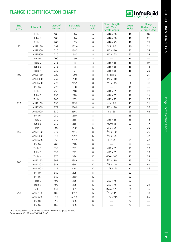# FLANGE IDENTIFICATION CHART



| <b>Size</b><br>(mm) | <b>Table / Class</b> | Diam. of<br>Flange | <b>Bolt Circle</b><br>Diam. | No. of<br><b>Bolts</b> | Diam. / Length<br><b>Bolts / Studs</b><br><b>Steel Flanges</b> | Diam.<br><b>Holes</b> | Flange<br><b>Thickness Cast</b><br>/ Forged Steel |
|---------------------|----------------------|--------------------|-----------------------------|------------------------|----------------------------------------------------------------|-----------------------|---------------------------------------------------|
|                     | Table D              | 185                | 146                         | 4                      | M16 x 60                                                       | 18                    | $10*$                                             |
|                     | Table E              | 185                | 146                         | $\overline{4}$         | M16 x 60                                                       | 18                    | $11*$                                             |
|                     | Table H              | 205                | 165                         | 8                      | M16 x 75                                                       | 18                    | 22                                                |
| 80                  | <b>ANSI 150</b>      | 191                | 152.4                       | 4                      | $5/8 \times 90$                                                | 20                    | 24                                                |
|                     | <b>ANSI 300</b>      | 210                | 168.3                       | 8                      | $3/4 \times 110$                                               | 23                    | 32                                                |
|                     | <b>ANSI 600</b>      | 210                | 168.3                       | 8                      | $3/4 \times 125$                                               | 23                    | 32                                                |
|                     | <b>PN 16</b>         | 200                | 160                         | 8                      |                                                                | 18                    |                                                   |
|                     | Table D              | 215                | 178                         | 4                      | M16 x 65                                                       | 18                    | $10*$                                             |
|                     | Table E              | 215                | 178                         | 8                      | M16 x 65                                                       | 18                    | 13                                                |
|                     | Table H              | 230                | 191                         | $\,8\,$                | M16 x 85                                                       | 18                    | 25                                                |
| 100                 | <b>ANSI 150</b>      | 229                | 190.5                       | 8                      | $5/8 \times 90$                                                | 20                    | 24                                                |
|                     | <b>ANSI 300</b>      | 254                | 200                         | 8                      | $3/4 \times 110$                                               | 23                    | 32                                                |
|                     | <b>ANSI 600</b>      | 273                | 215.9                       | 8                      | 7/8 x 145                                                      | 26                    | 38                                                |
|                     | <b>PN 16</b>         | 220                | 180                         | 8                      |                                                                | 18                    | $\overline{\phantom{0}}$                          |
|                     | Table D              | 255                | 210                         | 8                      | M16 x 65                                                       | 18                    | 22                                                |
|                     | Table E              | 255                | 210                         | 8                      | M16 x 65                                                       | 18                    | 14                                                |
|                     | Table H              | 280                | 235                         | 8                      | M20 x 95                                                       | 22                    | 29                                                |
| 125                 | <b>ANSI 150</b>      | 254                | 215.9                       | 8                      | $3/4 \times 90$                                                | 23                    | 24                                                |
|                     | <b>ANSI 300</b>      | 279                | 234.9                       | 8                      | $3/4 \times 120$                                               | 23                    | 35                                                |
|                     | <b>ANSI 600</b>      | 330                | 266.7                       | 8                      | $1 \times 165$                                                 | 29                    | 45                                                |
|                     | <b>PN 16</b>         | 250                | 210                         | $\,8\,$                |                                                                | 18                    | $\overline{\phantom{0}}$                          |
|                     | Table D              | 280                | 235                         | 8                      | M16 x 65                                                       | 18                    | 13                                                |
|                     | Table E              | 280                | 235                         | 8                      | M20x 65                                                        | 22                    | 17                                                |
|                     | Table H              | 305                | 260                         | 12                     | M20 x 95                                                       | 22                    | 29                                                |
| 150                 | <b>ANSI 150</b>      | 279                | 241.3                       | 8                      | $3/4 \times 100$                                               | 23                    | 26                                                |
|                     | <b>ANSI 300</b>      | 318                | 269.9                       | 12                     | $3/4 \times 125$                                               | 23                    | 37                                                |
|                     | <b>ANSI 600</b>      | 356                | 292.1                       | 12                     | 1 x 170                                                        | 29                    | 48                                                |
|                     | <b>PN 16</b>         | 285                | 240                         | 8                      |                                                                | 22                    | --                                                |
|                     | Table D              | 335                | 292                         | 8                      | M16 x 65                                                       | 18                    | 13                                                |
|                     | Table E              | 335                | 292                         | 8                      | M20 x 65                                                       | 22                    | 19                                                |
|                     | Table H              | 370                | 324                         | 12                     | M20 x 100                                                      | 22                    | 32                                                |
|                     | <b>ANSI 150</b>      | 343                | 298.4                       | $\,8\,$                | $3/4 \times 110$                                               | 23                    | 29                                                |
| 200                 | <b>ANSI 300</b>      | 381                | 330.2                       | 12                     | $7/8 \times 140$                                               | 26                    | 41                                                |
|                     | <b>ANSI 600</b>      | 419                | 349.2                       | 12                     | $11/8 \times 195$                                              | 32                    | 56                                                |
|                     | <b>PN 10</b>         | 340                | 295                         | $\,8\,$                | $\qquad \qquad \qquad$                                         | 22                    |                                                   |
|                     | <b>PN 16</b>         | 340                | 280                         | 12                     |                                                                | 22                    |                                                   |
|                     | Table D              | 405                | 356                         | 8                      | M20 x 75                                                       | 22                    |                                                   |
|                     | Table E              | 405                | 356                         | 12                     | M20 x 75                                                       | 22                    | 22                                                |
|                     | Table H              | 430                | 381                         | 12                     | M24 x 120                                                      | 26                    | 35                                                |
| 250                 | <b>ANSI 150</b>      | 406                | 361.9                       | 12                     | $7/8 \times 115$                                               | 29                    | 30                                                |
|                     | <b>ANSI 600</b>      | 510                | 431.8                       | 16                     | $11/4 \times 215$                                              | 35                    | 64                                                |
|                     | <b>PN 10</b>         | 395                | 350                         | 8                      |                                                                | 22                    |                                                   |
|                     | <b>PN 16</b>         | 405                | 350                         | 12                     |                                                                | 22                    |                                                   |

\*It is impractical to use thickness less than 12.00mm for plate flanges. Dimensions AS 2129 – ANSI/ASME B16.5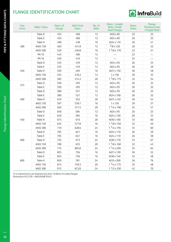# FLANGE IDENTIFICATION CHART



| <b>Size</b><br>(mm) | <b>Table / Class</b> | Diam. of<br>Flange | <b>Bolt Circle</b><br>Diam. | No. of<br><b>Bolts</b> | Diam. / Length<br><b>Bolts / Studs</b><br><b>Steel Flanges</b> | Diam.<br><b>Holes</b> | Flange<br><b>Thickness Cast</b><br>/ Forged Steel |
|---------------------|----------------------|--------------------|-----------------------------|------------------------|----------------------------------------------------------------|-----------------------|---------------------------------------------------|
|                     | Table D              | 455                | 406                         | 12                     | M20 x 85                                                       | 22                    | 22                                                |
|                     | Table E              | 455                | 406                         | 12                     | M24 x 85                                                       | 26                    | 25                                                |
|                     | Table H              | 490                | 438                         | 16                     | M24 x 110                                                      | 26                    | 41                                                |
| 300                 | <b>ANSI 150</b>      | 483                | 431.8                       | 12                     | $7/8 \times 120$                                               | 26                    | 32                                                |
|                     | <b>ANSI 300</b>      | 520                | 450.8                       | 16                     | $11/8 \times 170$                                              | 32                    | 51                                                |
|                     | <b>PN 10</b>         | 445                | 400                         | 12                     |                                                                | 22                    | $\overline{\phantom{0}}$                          |
|                     | <b>PN 16</b>         | 450                | 410                         | 12                     | $\qquad \qquad \longleftarrow$                                 | 25                    | $\qquad \qquad -$                                 |
|                     | Table D              | 525                | 470                         | 12                     | M24 x 95                                                       | 26                    | 25                                                |
|                     | Table E              | 525                | 470                         | $12$                   | M24 x 95                                                       | 26                    | 29                                                |
| 350                 | Table H              | 550                | 495                         | 16                     | M27 x 130                                                      | 30                    | 48                                                |
|                     | <b>ANSI 150</b>      | 535                | 476.2                       | 12                     | 1 x 130                                                        | 29                    | 35                                                |
|                     | <b>ANSI 300</b>      | 585                | 514.3                       | 20                     | $11/8 \times 175$                                              | 32                    | 54                                                |
| 375                 | Table D              | 550                | 495                         | 12                     | M24 x 95                                                       | 26                    | 22                                                |
|                     | Table E              | 550                | 495                         | 12                     | M24 x 95                                                       | 26                    | 32                                                |
|                     | Table D              | 580                | 521                         | 12                     | M24 x 95                                                       | 26                    | 22                                                |
|                     | Table E              | 580                | 521                         | 12                     | M24 x 100                                                      | 26                    | 32                                                |
| 400                 | Table H              | 610                | 552                         | 20                     | M27 x 140                                                      | 30                    | 54                                                |
|                     | <b>ANSI 150</b>      | 597                | 539.7                       | 16                     | 1 x 130                                                        | 29                    | 37                                                |
|                     | <b>ANSI 300</b>      | 650                | 571.5                       | 20                     | $11/4 \times 190$                                              | 35                    | 57                                                |
|                     | Table D              | 640                | 584                         | 12                     | M24 x 95                                                       | 26                    | 25                                                |
|                     | Table E              | 640                | 584                         | 16                     | M24 x 120                                                      | 26                    | 35                                                |
| 450                 | Table H              | 675                | 610                         | 20                     | M30 x 160                                                      | 33                    | 60                                                |
|                     | <b>ANSI 150</b>      | 635                | 577.8                       | 16                     | $11/8 \times 150$                                              | 32                    | $40$                                              |
|                     | <b>ANSI 300</b>      | 710                | 628.6                       | 24                     | $11/4 \times 195$                                              | 35                    | 60                                                |
|                     | Table D              | 705                | 641                         | 16                     | M24 x 110                                                      | 26                    | 29                                                |
|                     | Table E              | 705                | 641                         | 16                     | M24 x 110                                                      | 26                    | 38                                                |
| 500                 | Table H              | 735                | 673                         | 24                     | M30 x 170                                                      | 33                    | 67                                                |
|                     | <b>ANSI 150</b>      | 700                | 635                         | 20                     | $11/8 \times 160$                                              | 32                    | 43                                                |
|                     | <b>ANSI 300</b>      | 775                | 685.8                       | 24                     | $11/4 \times 205$                                              | 35                    | 64                                                |
|                     | Table D              | 825                | 756                         | 16                     | M27 x 120                                                      | 30                    | 32                                                |
|                     | Table E              | 825                | 756                         | 16                     | M30 x 140                                                      | 33                    | $48$                                              |
| 600                 | Table H              | 850                | 781                         | 24                     | M33 x 200                                                      | 36                    | 76                                                |
|                     | <b>ANSI 150</b>      | 815                | 749.3                       | 20                     | $11/4 \times 175$                                              | 35                    | 48                                                |
|                     | <b>ANSI 300</b>      | 915                | 812.8                       | 24                     | $1^{1/2} \times 230$                                           | 42                    | 70                                                |

\*It is impractical to use thickness less than 12.00mm for plate flanges. Dimensions AS 2129 – ANSI/ASME B16.5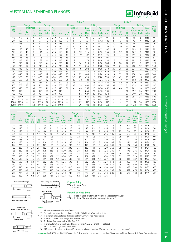# AUSTRALIAN STANDARD FLANGES



|             |                 |                          |                              | <b>Table D</b> |                               |                          | <b>Table E</b>             |                          |                          |                                      | <b>Table F</b> |                               |                          |                            |                          |                          |                              |             |                               |                          |             |
|-------------|-----------------|--------------------------|------------------------------|----------------|-------------------------------|--------------------------|----------------------------|--------------------------|--------------------------|--------------------------------------|----------------|-------------------------------|--------------------------|----------------------------|--------------------------|--------------------------|------------------------------|-------------|-------------------------------|--------------------------|-------------|
| Nom.        |                 | Flange                   |                              |                | <b>Drilling</b>               |                          | <b>Example 2018</b> Flange |                          |                          |                                      |                | <b>Drilling</b>               |                          | <b>Example 2018</b> Flange |                          |                          |                              |             | <b>Drilling</b>               |                          | Nom.        |
| <b>Size</b> |                 | <b>Thickness</b>         |                              | <b>Bolt</b>    |                               | Dia.                     |                            |                          | Thickness                |                                      | <b>Bolt</b>    |                               | Dia.                     |                            |                          | <b>Thickness</b>         |                              | <b>Bolt</b> |                               | Dia.                     | <b>Size</b> |
| <b>DN</b>   | <b>OD</b><br>mm | T <sub>3</sub><br>mm     | $**$<br>T <sub>6</sub><br>mm | Dia.<br>mm     | Circle No. of<br><b>Bolts</b> | of<br><b>Bolts</b><br>mm | <b>OD</b><br>mm            | <b>T10</b><br>mm         | T <sub>11</sub><br>mm    | $\star\star$<br>T <sub>6</sub><br>mm | Dia.<br>mm     | Circle No. of<br><b>Bolts</b> | of<br><b>Bolts</b><br>mm | <b>OD</b><br>mm            | <b>T10</b><br>mm         | T <sub>11</sub><br>mm    | $**$<br>T <sub>6</sub><br>mm | Dia.<br>mm  | Circle No. of<br><b>Bolts</b> | of<br><b>Bolts</b><br>mm | <b>DN</b>   |
| 15          | 95              | 6                        | 5                            | 67             | 4                             | M12                      | 95                         | 6                        | 6                        | 6                                    | 67             | $\overline{4}$                | M12                      | 95                         | 8                        | 8                        | 10                           | 67          | 4                             | M12                      | 15          |
| 20          | 100             | 6                        | 5                            | 73             | 4                             | M <sub>12</sub>          | 100                        | 6                        | 6                        | 6                                    | 73             | 4                             | M12                      | 100                        | 8                        | 8                        | 10                           | 73          | 4                             | M12                      | 20          |
| 25          | 115             | 8                        | 5                            | 83             | 4                             | M12                      | 115                        | 8                        | 8                        | 7                                    | 83             | 4                             | M12                      | 120                        | 10                       | 10                       | 10                           | 87          | 4                             | M16                      | 25          |
| 32          | 120             | 8                        | 6                            | 87             | 4                             | M12                      | 120                        | 8                        | 8                        | 8                                    | 87             | 4                             | M12                      | 135                        | 10                       | 10                       | 13                           | 98          | 4                             | M16                      | 32          |
| 40          | 135             | 10                       | 6                            | 98             | 4                             | M12                      | 135                        | 10                       | 10                       | 9                                    | 98             | 4                             | M12                      | 140                        | 11                       | 11                       | 13                           | 105         | 4                             | M16                      | 40          |
| 50          | 150             | 10                       | 8                            | 114            | 4                             | M16                      | 150                        | 10                       | 10                       | 10                                   | 114            | 4                             | M16                      | 165                        | 11                       | 12                       | 16                           | 127         | 4                             | M16                      | 50          |
| 65          | 165             | 11                       | 8                            | 127            | 4                             | M16                      | 165                        | 11                       | 11                       | 10                                   | 127            | 4                             | M16                      | 185                        | 13                       | 13                       | 16                           | 146         | 8                             | M16                      | 65          |
| 80          | 185             | 13                       | 10                           | 146            | 4                             | M16                      | 185                        | 13                       | 13                       | 11                                   | 146            | 4                             | M <sub>16</sub>          | 205                        | 14                       | 15                       | 16                           | 165         | 8                             | M16                      | 80          |
| 100         | 215             | 16                       | 10                           | 178            | 4                             | M16                      | 215                        | 16                       | 16                       | 13                                   | 178            | 8                             | M <sub>16</sub>          | 230                        | 17                       | 17                       | 19                           | 191         | 8                             | M16                      | 100         |
| 125         | 255             | 17                       | 13                           | 210            | 8                             | M16                      | 255                        | 17                       | 17                       | 14                                   | 210            | 8                             | M16                      | 280                        | 19                       | 20                       | 22                           | 235         | 8                             | M20                      | 125         |
| 150         | 280             | 17                       | 13                           | 235            | 8                             | M16                      | 280                        | 17                       | 17                       | 17                                   | 235            | 8                             | M20                      | 305                        | 22                       | 23                       | 22                           | 260         | 12                            | M20                      | 150         |
| 200         | 335             | 19                       | 13                           | 292            | 8                             | M16                      | 335                        | 19                       | 20                       | 19                                   | 292            | 8                             | M <sub>20</sub>          | 370                        | 25                       | 28                       | 25                           | 324         | 12                            | M20                      | 200         |
| 250         | 405             | 19                       | 16                           | 356            | 8                             | M20                      | 405                        | 22                       | 25                       | 22                                   | 356            | 12                            | M20                      | 430                        | 25                       | 32                       | 29                           | 381         | 12                            | M24                      | 250         |
| 300         | 455             | 22                       | 19                           | 406            | 12                            | M20                      | 455                        | 25                       | 28                       | 25                                   | 406            | 12                            | M24                      | 490                        | 29                       | 37                       | 32                           | 438         | 16                            | M24                      | 300         |
| 350         | 525             | 25                       | 22                           | 470            | 12                            | M24                      | 525                        | 25                       | 32                       | 29                                   | 470            | 12                            | M24                      | 550                        | 32                       | 42                       | 35                           | 495         | 16                            | M <sub>27</sub>          | 350         |
| 400         | 580             | 25                       | 22                           | 521            | 12                            | M24                      | 580                        | 25                       | 36                       | 32                                   | 521            | 12                            | M24                      | 610                        | 32                       | 47                       | 41                           | 552         | 20                            | M27                      | 400         |
| 450         | 640             | 29                       | 25                           | 584            | 12                            | M24                      | 640                        | 29                       | 41                       | 35                                   | 584            | 16                            | M24                      | 675                        | 35                       | 52                       | 44                           | 610         | 20                            | M30                      | 450         |
| 500         | 705             | 32                       | 29                           | 641            | 16                            | M24                      | 705                        | 32                       | 46                       | 38                                   | 641            | 16                            | M24                      | 735                        | 38                       | 57                       | 51                           | 673         | 24                            | M30                      | 500         |
| 600         | 825             | 35                       | 32                           | 756            | 16                            | M27                      | 825                        | 38                       | $\overline{\phantom{m}}$ | 48                                   | 756            | 16                            | M30                      | 850                        | 41                       | 68                       | 57                           | 781         | 24                            | M33                      | 600         |
| 700         | 910             | $\overline{\phantom{m}}$ | 35                           | 845            | 20                            | M27                      | 910                        | $\overline{\phantom{0}}$ | $\qquad \qquad =$        | 51                                   | 845            | 20                            | M30                      | 935                        | $\overline{\phantom{m}}$ | $\overline{\phantom{m}}$ | 60                           | 857         | 24                            | M33                      | 700         |
| 750         | 995             | $\overline{\phantom{m}}$ | 41                           | 927            | 20                            | M30                      | 995                        | $\overline{\phantom{0}}$ | $\overline{\phantom{m}}$ | 54                                   | 927            | 20                            | M33                      | 1015                       | $\overline{\phantom{m}}$ | $\overline{\phantom{m}}$ | 67                           | 940         | 28                            | M33                      | 750         |
| 800         | 1060            | $\overline{\phantom{m}}$ | 41                           | 984            | 20                            | M33                      | 1060                       | $\qquad \qquad =$        | $\overline{\phantom{m}}$ | 54                                   | 984            | 20                            | M33                      | 1060                       | $\overline{\phantom{m}}$ | $\overline{\phantom{m}}$ | 68                           | 984         | 28                            | M33                      | 800         |
| 900         | 1175            | $\overline{\phantom{m}}$ | 48                           | 1092           | 24                            | M33                      | 1175                       | $\equiv$                 | $\overline{\phantom{m}}$ | 64                                   | 1092           | 24                            | M33                      | 1185                       | $\qquad \qquad -$        | $\overline{\phantom{m}}$ | 76                           | 1105        | 32                            | M36                      | 900         |
| 1000        | 1255            | $\overline{\phantom{0}}$ | 51                           | 1175           | 24                            | M33                      | 1255                       | ÷,                       | $\overline{\phantom{0}}$ | 67                                   | 1175           | 24                            | M36                      | 1275                       | $\qquad \qquad -$        | $\overline{\phantom{m}}$ | 83                           | 1194        | 36                            | M36                      | 1000        |
| 1200        | 1490            | $\qquad \qquad =$        | 60                           | 1410           | 32                            | M33                      | 1490                       | L,                       | $\qquad \qquad =$        | 79                                   | 1410           | 32                            | M36                      | 1530                       | $\overline{\phantom{0}}$ | $\overline{\phantom{m}}$ | 95                           | 1441        | 40                            | M39                      | 1200        |

|             |                 |            |                       |                          | <b>Table H</b> |                      |                    |                                     | <b>Table J</b>  |                  |           | <b>Table R</b>       |                    |                          |                                |                           |           |                      |                    |                                 |             |
|-------------|-----------------|------------|-----------------------|--------------------------|----------------|----------------------|--------------------|-------------------------------------|-----------------|------------------|-----------|----------------------|--------------------|--------------------------|--------------------------------|---------------------------|-----------|----------------------|--------------------|---------------------------------|-------------|
| Nom.        |                 | Flange     |                       |                          |                | <b>Drilling</b>      |                    |                                     |                 | Flange           |           | <b>Drilling</b>      |                    |                          |                                | Flange                    |           | <b>Drilling</b>      |                    |                                 | Nom.        |
| <b>Size</b> |                 |            | <b>Thickness</b>      |                          | + Dia.         | <b>Bolt</b>          | No.                | Dia.                                |                 | <b>Thickness</b> | Dia.      | <b>Bolt</b>          | No.                | Dia.                     |                                | <b>Thickness</b>          | Dia.      | <b>Bolt</b>          | No.                | Dia.                            | <b>Size</b> |
| <b>DN</b>   | <b>OD</b><br>mm | T10.<br>mm | T <sub>11</sub><br>mm | $*$ T <sub>6</sub><br>mm | R/F<br>mm      | Circle<br>Dia.<br>mm | of<br><b>Bolts</b> | <sub>of</sub><br><b>Bolts</b><br>mm | <b>OD</b><br>mm | $*$ T6<br>mm     | R/F<br>mm | Circle<br>Dia.<br>mm | of<br><b>Bolts</b> | of<br><b>Bolts</b><br>mm | <b>OD</b><br>mm                | $*$ T <sub>18</sub><br>mm | R/F<br>mm | Circle<br>Dia.<br>mm | of<br><b>Bolts</b> | <b>of</b><br><b>Bolts</b><br>mm | <b>DN</b>   |
| 15          | 115             | 10         | 11                    | 13                       | 57             | 83                   | 4                  | M16                                 | 115             | 16               | 57        | 83                   | 4                  | M16                      | 115                            | 19                        | 64        | 83                   | 4                  | M16                             | 15          |
| 20          | 115             | 10         | 11                    | 13                       | 57             | 83                   | 4                  | M16                                 | 115             | 16               | 57        | 83                   | 4                  | M16                      | 115                            | 19                        | 64        | 83                   | 4                  | M16                             | 20          |
| 25          | 120             | 11         | 12                    | 14                       | 64             | 87                   | 4                  | M16                                 | 120             | 19               | 64        | 87                   | 4                  | M16                      | 125                            | 22                        | 76        | 95                   | 4                  | M16                             | 25          |
| 32          | 135             | 11         | 13                    | 17                       | 76             | 98                   | 4                  | M16                                 | 135             | 19               | 76        | 98                   | 4                  | M16                      | 135                            | 22                        | 76        | 98                   | 4                  | M16                             | 32          |
| 40          | 140             | 13         | 14                    | 17                       | 83             | 105                  | 4                  | M16                                 | 140             | 22               | 83        | 105                  | 4                  | M16                      | 150                            | 25                        | 89        | 114                  | 4                  | M20                             | 40          |
| 50          | 165             | 13         | 16                    | 19                       | 102            | 127                  | 4                  | M16                                 | 165             | 25               | 102       | 127                  | 4                  | M20                      | 165                            | 25                        | 102       | 127                  | 8                  | M16                             | 50          |
| 65          | 185             | 14         | 17                    | 19                       | 114            | 146                  | 8                  | M16                                 | 185             | 25               | 114       | 146                  | 8                  | M20                      | 185                            | 29                        | 114       | 146                  | 8                  | M20                             | 65          |
| 80          | 205             | 16         | 19                    | 22                       | 127            | 165                  | 8                  | M16                                 | 205             | 32               | 127       | 165                  | 8                  | M20                      | 205                            | 32                        | 127       | 165                  | 8                  | M20                             | 80          |
| 100         | 230             | 19         | 23                    | 25                       | 152            | 191                  | 8                  | M16                                 | 230             | 35               | 152       | 191                  | 8                  | M20                      | 240                            | 35                        | 152       | 197                  | 8                  | M24                             | 100         |
| 125         | 280             | 22         | 27                    | 29                       | 178            | 235                  | 8                  | M20                                 | 280             | 38               | 178       | 235                  | 8                  | M24                      | 280                            | 41                        | 178       | 235                  | 12                 | M24                             | 125         |
| 150         | 305             | 25         | 30                    | 29                       | 210            | 260                  | 12                 | M20                                 | 305             | 38               | 210       | 260                  | 12                 | M24                      | 305                            | 44                        | 210       | 260                  | 12                 | M24                             | 150         |
| 200         | 370             | 32         | 39                    | 32                       | 260            | 324                  | 12                 | M20                                 | 370             | 41               | 260       | 324                  | 12                 | M24                      | 370                            | 51                        | 260       | 324                  | 12                 | M <sub>27</sub>                 | 200         |
| 250         | 430             | 35         | 45                    | 35                       | 311            | 381                  | 12                 | M24                                 | 430             | 48               | 311       | 381                  | 12                 | M27                      | 430                            | 60                        | 311       | 387                  | 16                 | M <sub>27</sub>                 | 250         |
| 300         | 490             | 38         | 52                    | 41                       | 362            | 438                  | 16                 | M24                                 | 490             | 51               | 362       | 438                  | 16                 | M27                      | 510                            | 70                        | 362       | 457                  | 16                 | M30                             | 300         |
| 350         | 550             | 41         | 58                    | 48                       | 419            | 495                  | 16                 | M27                                 | 550             | 57               | 419       | 495                  | 16                 | M30                      | 585                            | 79                        | 419       | 527                  | 16                 | M33                             | 350         |
| 400         | 610             | 44         | 64                    | 54                       | 483            | 552                  | 20                 | M27                                 | 610             | 64               | 483       | 552                  | 20                 | M30                      | 640                            | 89                        | 483       | 584                  | 20                 | M33                             | 400         |
| 450         | 675             | 48         | 71                    | 60                       | 533            | 610                  | 20                 | M30                                 | 675             | 70               | 533       | 610                  | 20                 | M33                      | 735                            | 98                        | 572       | 673                  | 20                 | M36                             | 450         |
| 500         | 735             | 51         | 78                    | 67                       | 597            | 673                  | 24                 | M30                                 | 735             | 79               | 597       | 673                  | 24                 | M33                      | 805                            | 105                       | 622       | 730                  | 20                 | M39                             | 500         |
| 600         | 850             | 57         | 92                    | 76                       | 699            | 781                  | 24                 | M33                                 | 850             | 92               | 699       | 781                  | 24                 | M36                      | $\qquad \qquad \longleftarrow$ | -                         |           |                      |                    |                                 |             |









### **Plate Flange Slip On Weld**

**Flat FaceWeld Neck Flange** 盯 1.6mm **Diam.**

 $\mathbb{H}^{\mathbb{Z}}$ 

#### **Copper Alloy**

T.30– Plate or Boss T.11– Blank

#### **Forged or Plate Steel**

- T.6 Plate or Boss or Blank, or Weldneck (except for valves) T.18– Plate or Blank or Weldneck (except for valves)
- **Raised Face**
- **Notes:**  (1) All dimensions are in millimetres (mm).
	- (2 Only metric preferred sizes listed, except for DN 750 which is a Non-preferred size.
- \*\* (3) It is impractical to use flange thickness less than 12mm for Steel Plate Flanges.
- \* (4) Thickness includes 1.6mm height for the Raised Face.
- † (5) The Raised Face is non-preferred for Table "H".
	- (6) It is normal practice to supply Steel Flanges to Tables A, D, C, E, F and H. Flat Faced.
	- (7) All copper alloy flanges shall be Flat Faced.
	- (8) All flanges shall be drilled to Standard Tables unless otherwise specified. (For Bolt dimensions see separate page).

**Important:** For DN 150 and DN 200 Flanges, the O.D. of pipe being used must be specified. Dimensions for Flange Tables A, C, K, S and T on application.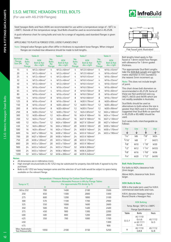# I.S.O. METRIC HEXAGON STEEL BOLTS

(For use with AS.2129 Flanges)



Steel hexagon Bolts and Nuts (XOX) are recommended for use within a temperature range of  $-50^{\circ}$ C to +300°C. Outside of this temperature range, Stud Bolts should be used as recommended in AS.2528.

A quick reference chart for sizing bolts and nuts for a range of regularly used standard flanges is given below:

#### APPLICABLE TO PLATE & FORGED STEEL LOOSE FLANGES ONLY

Note: Integral valve flanges quite often differ in thickness to equivalent loose flanges. When integral flanges are involved due allowance should be made to bolt lengths.

|                                            |                                      | <b>Table D</b>                                     |                                      | <b>Table E</b>                                     |                                      | <b>Table F</b>                                     |                                      | <b>Table H</b>                                     |
|--------------------------------------------|--------------------------------------|----------------------------------------------------|--------------------------------------|----------------------------------------------------|--------------------------------------|----------------------------------------------------|--------------------------------------|----------------------------------------------------|
| <b>Nominal</b><br>Flange<br><b>Size DN</b> | No.<br><b>Bolts</b><br>Per<br>Flange | <b>XOX</b><br><b>Bolt &amp; Nut</b><br>dia. x lgth | No.<br><b>Bolts</b><br>Per<br>Flange | <b>XOX</b><br><b>Bolt &amp; Nut</b><br>dia. x lgth | No.<br><b>Bolts</b><br>Per<br>Flange | <b>XOX</b><br><b>Bolt &amp; Nut</b><br>dia. x lgth | No.<br><b>Bolts</b><br>Per<br>Flange | <b>XOX</b><br><b>Bolt &amp; Nut</b><br>dia. x lgth |
| 15                                         | 4                                    | $M12 \times 40$ mm <sup>*</sup>                    | 4                                    | $M12 \times 40$ mm <sup>*</sup>                    | 4                                    | M12 X 40mm*                                        | 4                                    | $M16 \times 45$ mm*                                |
| 20                                         | $\overline{4}$                       | M12 x 40mm*                                        | 4                                    | $M12 \times 40$ mm <sup>*</sup>                    | 4                                    | M12 X 40mm*                                        | 4                                    | M16 x 45mm*                                        |
| 25                                         | 4                                    | $M12 \times 40$ mm <sup>*</sup>                    | 4                                    | $M12 \times 40$ mm <sup>*</sup>                    | 4                                    | M16 X 45mm*                                        | 4                                    | $M16 \times 50$ mm <sup>*</sup>                    |
| 32                                         | $\overline{4}$                       | $M12 \times 40$ mm <sup>*</sup>                    | 4                                    | $M12 \times 40$ mm <sup>*</sup>                    | 4                                    | M16 X 45mm*                                        | 4                                    | M16 x 55mm*                                        |
| 40                                         | $\overline{4}$                       | M12 x 40mm*                                        | $\overline{4}$                       | $M12 \times 40$ mm <sup>*</sup>                    | 4                                    | M16 X 45mm*                                        | 4                                    | M16 x 55mm*                                        |
| 50                                         | 4                                    | M16 x 45mm*                                        | 4                                    | M16 x 45mm*                                        | 4                                    | M16 X 50mm*                                        | 4                                    | M16 x 60mm*                                        |
| 65                                         | 4                                    | M16 x 45mm*                                        | 4                                    | $M16 \times 45$ mm <sup>*</sup>                    | 8                                    | M16 X 50mm*                                        | 8                                    | M16 x 60mm*                                        |
| 80                                         | 4                                    | $M16 \times 45$ mm*                                | 4                                    | $M16 \times 45$ mm*                                | 8                                    | M16 X 50mm*                                        | 8                                    | M16 x 65mm*                                        |
| 100                                        | 4                                    | M16 x 45mm*                                        | 8                                    | $M16 \times 45$ mm*                                | 8                                    | M16 X 60mm*                                        | 8                                    | M16 x 70mm*                                        |
| 125                                        | 8                                    | M16 x 45mm*                                        | 8                                    | $M16 \times 50$ mm <sup>*</sup>                    | 8                                    | M20 X 70mm*                                        | 8                                    | M20 x 80mm*                                        |
| 150                                        | 8                                    | M16 x 45mm*                                        | 8                                    | $M20 \times 60$ mm <sup>*</sup>                    | 12                                   | M20 X 70mm*                                        | 12                                   | M20 x 80mm*                                        |
| 200                                        | 8                                    | $M16 \times 45$ mm*                                | 8                                    | $M20 \times 60$ mm <sup>*</sup>                    | 12                                   | M20 X 75mm*                                        | 12                                   | M20 x 90mm*                                        |
| 250                                        | 8                                    | M20 x 55mm*                                        | 12                                   | M20 x 70mm <sup>*</sup>                            | 12                                   | M24 X 85mm*                                        | 12                                   | M24 x 100mm*                                       |
| 300                                        | 12                                   | $M20 \times 60$ mm <sup>*</sup>                    | 12                                   | $M24 \times 80$ mm <sup>*</sup>                    | 16                                   | M24 X 100mm*                                       | 16                                   | M24 x 110mm <sup>*</sup>                           |
| 350                                        | 12                                   | M24 x 75mm <sup>*</sup>                            | 12                                   | M24 x 85mm*                                        | 16                                   | M27 X 100mm*                                       | 16                                   | M27 x 130mm*                                       |
| 400                                        | 12                                   | M24 x 75mm*                                        | 12                                   | M24 x 100mm*                                       | 20                                   | M27 X 120mm*                                       | 20                                   | M27 x 140mm*                                       |
| 450                                        | 12                                   | M24 x 80mm*                                        | 16                                   | M24 x 100mm*                                       | 20                                   | M30 X 130mm*                                       | 20                                   | M30 x 160mm*                                       |
| 500                                        | 16                                   | $M24 \times 85$ mm <sup>*</sup>                    | 16                                   | M24 x 110mm*                                       | 24                                   | M30 X 140mm*                                       | 24                                   | M30 x 170mm <sup>*</sup>                           |
| 600                                        | 16                                   | M27 x 100mm*                                       | 16                                   | M30 x 130mm*                                       | 24                                   | M33 X 150mm*                                       | 24                                   | M33 x 190mm <sup>*</sup>                           |
| 700                                        | 20                                   | M27 x 100mm*                                       | 20                                   | M30 x 140mm*                                       | 24                                   | M33 X 160mm*                                       |                                      |                                                    |
| 750                                        | 20                                   | M30 x 120mm*                                       | 20                                   | M33 x 150mm*                                       | 28                                   | M33 X 170mm*                                       |                                      |                                                    |
| 800                                        | 20                                   | M33 x 120mm*                                       | 20                                   | M33 x 150mm*                                       | 28                                   | M33 X 180mm*                                       |                                      |                                                    |
| 900                                        | 24                                   | M33 x 140mm*                                       | 24                                   | M33 x 170mm*                                       | 32                                   | M36 X 200mm*                                       |                                      |                                                    |
| 1000                                       | 24                                   | M33 x 140mm*                                       | 24                                   | M36 x 180mm*                                       | 36                                   | M36 X 220mm*                                       |                                      |                                                    |
| 1200                                       | 32                                   | M33 x 160mm*                                       | 32                                   | M36 x 200mm*                                       | 40                                   | M39 X 240mm*                                       |                                      |                                                    |

#### **Notes:**

All dimensions are in millimetres (mm).

• High strength structural bolts to AS 1252 may be substituted for property class 8.8 bolts if agreed to by the purchaser.

• Bolts to AS 1252 are heavy hexagon series and the selection of such bolts would be subject to space being available on the relevant flange.

| <b>Temperature / Pressure Ratings for Carbon Steel Flanges</b> |                                                                                         |      |      |      |  |  |  |  |  |  |  |
|----------------------------------------------------------------|-----------------------------------------------------------------------------------------|------|------|------|--|--|--|--|--|--|--|
| Temp in ${}^{0}C$                                              | Maximum Allowable Pressure in kPa by Flange Tables<br>(For approximate PSI divide by 7) |      |      |      |  |  |  |  |  |  |  |
|                                                                | D                                                                                       | Е    |      | н    |  |  |  |  |  |  |  |
| -50 to 232                                                     | 700                                                                                     | 1400 | 2100 | 3500 |  |  |  |  |  |  |  |
| 250                                                            | 650                                                                                     | 1300 | 2000 | 3300 |  |  |  |  |  |  |  |
| 275                                                            | 600                                                                                     | 1200 | 1800 | 3100 |  |  |  |  |  |  |  |
| 300                                                            | 570                                                                                     | 1100 | 1700 | 2900 |  |  |  |  |  |  |  |
| 325                                                            | 550                                                                                     | 1000 | 1600 | 2600 |  |  |  |  |  |  |  |
| 350                                                            | 500                                                                                     | 950  | 1400 | 2400 |  |  |  |  |  |  |  |
| 375                                                            | 450                                                                                     | 900  | 1300 | 2200 |  |  |  |  |  |  |  |
| 400                                                            | 400                                                                                     | 800  | 1200 | 2000 |  |  |  |  |  |  |  |
| 425                                                            | 350                                                                                     | 700  | 1000 | 1700 |  |  |  |  |  |  |  |
| 450                                                            |                                                                                         |      |      | 1300 |  |  |  |  |  |  |  |
| 475                                                            |                                                                                         |      |      | 900  |  |  |  |  |  |  |  |
| Max. Hydrostatic<br>Test Pressure kPa                          | 1050                                                                                    | 2100 | 3150 | 5250 |  |  |  |  |  |  |  |



Bolt lengths listed apply to flatfaced or 1.6mm raised face flanges with allowance for 1.6mm gasket thickness.

\*For approximate Stud Bolt Lengths take the XOX Bolt Length and add the metric diameter in mm rounded to the nearest 5mm increment up.

Note: This does not include length of point.

This chart shows bolt diameters as recommended in AS.2129. Some of these are Non-preferred sizes e.g. (M27), (M33) and (M39) which are not readily available in Australia.

Stud Bolts should be used as alternatives to bolts where the size is greater than M24 and it is therefore suggested that Stud Bolts as specified in AS.2528 or BS.4882 should be used.

Inch series bolts interchangeable as follows:

| For     | Use | For                | Use   |
|---------|-----|--------------------|-------|
| $1/4$ " | M6  | 7/8"               | M24   |
| 5/16"   | M8  | 1"                 | (M27) |
| 3/8"    | M10 | 1 <sup>1</sup> /8" | M30   |
| 1/2"    | M12 | 11/4"              | (M33) |
| 5/8"    | M16 | 13/8"              | M36   |
| 3/4"    | M20 | $1^{1/2"}$         | (M39) |

#### **Bolt Hole Diameters**

For bolts to M24, clearance hole 2mm larger.

Above M24, clearance hole 3mm larger.

#### **XOX Bolts & Nuts**

XOX is the trade term used for H.R.H. commercial steel bolts and nuts.

H.R.H. denotes Hexagon Head x Round Shank x Hexagon Nut.

### XOX Bolting

| Temp. Range: $-50^{\circ}$ C to $+300^{\circ}$ C |                                         |                 |  |  |  |  |  |  |  |
|--------------------------------------------------|-----------------------------------------|-----------------|--|--|--|--|--|--|--|
| <b>Flange Specifications</b>                     |                                         |                 |  |  |  |  |  |  |  |
| Table                                            | <b>Bolts</b>                            | Nuts            |  |  |  |  |  |  |  |
| D. E. F                                          | AS 1110<br>Gr 46<br>or AS 1111<br>Gr 46 | AS 1112<br>Gr 5 |  |  |  |  |  |  |  |
| н                                                | AS 1112<br>Gr 8                         |                 |  |  |  |  |  |  |  |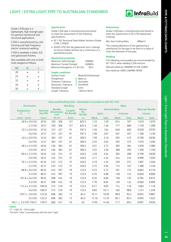# LIGHT / EXTRA LIGHT PIPE TO AUSTRALIAN STANDARDS



Grade C350 pipe is a lightweight, high strength pipe for general mechanical and structural applications.

C350 is manufactured by coldforming and high frequency electric resistance welding.

C350 is available in black, ILG and galvanized finishes.

Also available with one or both ends swaged as follows:

| <b>NB</b> | XL |   |
|-----------|----|---|
| 20        |    | X |
| 25        | ◡  | ✔ |
| 32        | ◡  | ✔ |
| 40        | u  | ✔ |
| 50        |    | Χ |
|           |    |   |

#### **Specification**

Grade C350 pipe is manufactured and tested to meet the requirement of the following specifications:

- AS 1163 Structural Steel Hollow Sections (Grade C350, C350L0).
- AS/NZ 4792 Hot dip galvanized (zinc) coatings on ferrous hollow sections by a continuous or a specialised process.

#### **Mechanical properties**

Minimum Yield Strength 350MPa Minimum Tensile Strength 450MPa Minimum Elongation in 5.65 √So 20%

#### **Supply conditions**

- Surface Finish Black/ILG/Galvanized Straightness Thickness Tolerance Dimension Tolerance Standard Length 6.5m<br>Lenath Tolerance +50mm/-0mm Length Tolerance
- Refer to Australian Standards

#### **Galvanizing**

Grade C350 pipe is manufactured and tested to meet the requirement of AS 4792 Galvanized Coatings.

Min. Ave Coating Mass 300g/m<sup>2</sup>

The coating adherence of the galvanizing is satisfactory for the pipe to be bent to a radius 6 times the diameter of the pipe.

#### **Welding**

The following consumables are recommended by AS 1554.1 when welding C350 sections. Manual metal-arc (MMAW) E41XX, E48XX Gas metal-arc (MIG) (GMAW) W50X

| Mass and Bundling Data - Calculated in accordance with AS 1163 |  |  |  |  |  |
|----------------------------------------------------------------|--|--|--|--|--|
|----------------------------------------------------------------|--|--|--|--|--|

| <b>Dimensions</b>      |                |     |                         | <b>Bundling</b> |                      | <b>Mass</b>  |                     |              |       |                        |       |  |
|------------------------|----------------|-----|-------------------------|-----------------|----------------------|--------------|---------------------|--------------|-------|------------------------|-------|--|
| <b>Designation</b>     | Nominal        |     | <b>Bundle</b>           | Lengths         | <b>Metres</b>        |              | <b>Nominal Mass</b> |              |       | <b>Mass per Bundle</b> |       |  |
| $d_{o}$                | <b>Size DN</b> |     | <b>Dimensions</b><br>mm | Per Bundle      | Per<br><b>Bundle</b> |              | kg/m                | m/tonne      |       | tonnes                 |       |  |
| $(mm)$ $(mm)$          | (mm)           | WxH |                         | 6.5m            | m                    | <b>Black</b> | Galv.               | <b>Black</b> | Galv. | <b>Black</b>           | Galv. |  |
| 26.9 x 2.0 CHS         | 20 XL          | 350 | 306                     | 127             | 825.5                | 1.23         | 1.29                | 814          | 767   | 1.010                  | 1.070 |  |
| 2.3 CHS                | 20 LT          | 350 | 306                     | 127             | 825.5                | 1.40         | 1.46                | 717          | 680   | 1.150                  | 1.200 |  |
| 33.7 x 2.0 CHS         | 25 XL          | 372 | 327                     | 91              | 591.5                | 1.56         | 1.64                | 640          | 602   | 0.920                  | 0.970 |  |
| 2.6 CHS                | 25 LT          | 372 | 327                     | 91              | 591.5                | 1.99         | 2.07                | 501          | 497   | 1.180                  | 1.230 |  |
| 42.4 x 2.0 CHS         | 32 XL          | 383 | 337                     | 61              | 396.5                | 1.99         | 2.10                | 502          | 473   | 0.790                  | 0.830 |  |
| 2.6 CHS                | 32 LT          | 383 | 337                     | 61              | 396.5                | 2.55         | 2.65                | 392          | 374   | 1.010                  | 1.050 |  |
| 48.3 x 2.3 CHS         | 40 XL          | 436 | 384                     | 61              | 396.5                | 2.61         | 2.73                | 383          | 364   | 1.030                  | 1.080 |  |
| 2.9 CHS                | 40 LT          | 436 | 384                     | 61              | 396.5                | 3.25         | 3.36                | 308          | 295   | 1.290                  | 1.330 |  |
| 60.3 x 2.3 CHS         | 50 XL          | 422 | 374                     | 37              | 240.5                | 3.29         | 3.44                | 304          | 288   | 0.790                  | 0.830 |  |
| 2.9 CHS                | 50 LT          | 422 | 374                     | 37              | 240.5                | 4.11         | 4.25                | 244          | 234   | 0.990                  | 1.020 |  |
| 76.1 x 2.3 CHS         | 65 XL          | 533 | 472                     | 37              | 240.5                | 4.19         | 4.33                | 239          | 231   | 1.007                  | 1.040 |  |
| 3.2 CHS                | 65 LT          | 533 | 472                     | 37              | 240.5                | 5.75         | 5.94                | 174          | 167   | 1.380                  | 1.430 |  |
| 88.9 x 2.6 CHS         | 80 XL          | 445 | 397                     | 19              | 123.5                | 5.53         | 5.75                | 181          | 174   | 0.683                  | 0.710 |  |
| 3.2 CHS                | 80 LT          | 445 | 397                     | 19              | 123.5                | 6.76         | 6.98                | 148          | 143   | 0.840                  | 0.860 |  |
| 101.6 x 2.6 CHS        | 90 XL          | 508 | 454                     | 19              | 123.5                | 6.35         | 6.60                | 158          | 152   | 0.784                  | 0.815 |  |
| 3.2 CHS                | 90 LT          | 508 | 454                     | 19              | 123.5                | 7.70         | 8.04                | 129          | 124   | 0.960                  | 0.990 |  |
| 114.3 x 3.2 CHS        | 100 XL         | 572 | 510                     | 19              | 123.5                | 8.77         | 9.05                | 114          | 110   | 1.083                  | 1.118 |  |
| 3.6 CHS                | 100 LT         | 572 | 510                     | 19              | 123.5                | 9.83         | 10.11               | 102          | 98.6  | 1.214                  | 1.249 |  |
| 139.7 x 3.0 CHS        | 125 XL         | 698 | 382                     | 13              | 84.5                 | 10.11        | 10.50               | 98.9         | 95.2  | 0.855                  | 0.887 |  |
| 3.5 CHS                | 125 LT         | 698 | 382                     | 13              | 84.5                 | 11.76        | 12.10               | 85.1         | 82.4  | 0.993                  | 1.022 |  |
| 165.1 x 3.5 CHS 150 LT | 150 LT         | 660 | 451                     | 10              | 65                   | 13.95        | 14.40               | 71.7         | 69.4  | 0.907                  | 0.936 |  |

#### **Notes:**

LT = Light, XL = Extra Light

The term "tube" is synonymous with the term "pipe".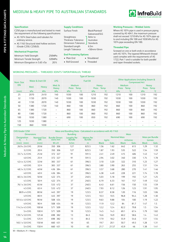## MEDIUM & HEAVY PIPE TO AUSTRALIAN STANDARDS



#### **Specification**

C250 pipe is manufactured and tested to meet the requirement of the following specifications:

- AS 1074 Steel tubes and tubulars for ordinary service.
- AS 1163 Structural steel hollow sections (Grade C250, C250L0).

#### **Mechanical Properties**

| Minimum Yield Strength         | 250MPa |
|--------------------------------|--------|
| Minimum Tensile Strength       | 320MPa |
| Minimum Elongation in 5.65 VSo | 20%    |

#### **Supply Conditions**

Surface Finish Black/Painted/ Straightness Thickness Tolerance

Dimension Tolerance Standard Length 6.5m Length Tolerance +50mm/-0mm

#### **End Processing Options**

• Plain End • Shouldered

Galvanized/ILG Refer to Australian Standards

- 
- Roll Grooved Threaded

**Working Pressures – Welded Joints**

Where AS 1074 pipe is used in pressure piping covered by AS 4041, the maximum pressure shall not exceed 1210 kPa for AS 1074 pipe up to and including DN 100 and 1030 kPa for AS 1074 pipe exceeding DN 100.

#### **Threaded Pipe**

Screwed on one or both ends in accordance with AS 1074. The tapered Whitworth thread used complies with the requirements of AS 1722, Part 1 and is suitable for both parallel and taper threaded sockets.

#### WORKING PRESSURES – THREADED JOINTS TAPER/PARALLEL THREAD

| <b>Type of Service</b> |                   |       |                          |                          |                              |       |                          |                                                          |                       |       |                      |
|------------------------|-------------------|-------|--------------------------|--------------------------|------------------------------|-------|--------------------------|----------------------------------------------------------|-----------------------|-------|----------------------|
| Nom. Size<br><b>DN</b> | Water & Inert Oil |       | <b>LPG</b>               | <b>Fuel Oil</b>          |                              |       |                          | Other Applications (including Steam &<br>Compressed Air) |                       |       |                      |
|                        | Med.              | Heavy | Med. &<br>Heavy          | <b>Press</b>             | <b>Medium</b><br><b>Temp</b> | Press | Heavy<br>Temp            | <b>Press</b>                                             | Medium<br><b>Temp</b> | Press | Heavy<br><b>Temp</b> |
| (mm)                   | kPa               | kPa   | kPa                      | kPa                      | $\rm ^{\circ}C$              | kPa   | $^{\circ}$ C             | kPa                                                      | ℃                     | kPa   | ℃                    |
| 25                     | 2070              | 2410  | 140                      | 1030                     | 100                          | 1210  | 192                      | 1210                                                     | 100                   | 1210  | 192                  |
| 32                     | 1720              | 2070  | 140                      | 1030                     | 100                          | 1030  | 192                      | 1030                                                     | 100                   | 1030  | 192                  |
| 40                     | 1720              | 2070  | 140                      | 1030                     | 100                          | 1030  | 192                      | 1030                                                     | 100                   | 1030  | 192                  |
| 50                     | 1380              | 1720  | 140                      | 860                      | 100                          | 860   | 192                      | 860                                                      | 100                   | 860   | 192                  |
| 65                     | 1380              | 1720  | $\overline{\phantom{0}}$ | 860                      | 100                          | 860   | 192                      | 860                                                      | 100                   | 860   | 192                  |
| 80                     | 1380              | 1720  | -                        | 860                      | 100                          | 860   | 192                      | 860                                                      | 100                   | 860   | 192                  |
| 100                    | 1030              | 1380  |                          | 690                      | 100                          | 850   | 192                      | 690                                                      | 100                   | 690   | 192                  |
| 125                    | 1030              | 1380  | $\overline{\phantom{0}}$ | $\overline{\phantom{0}}$ |                              |       | $\overline{\phantom{0}}$ | $\overline{\phantom{0}}$                                 | -                     |       |                      |
| 150                    | 860               | 1030  |                          |                          |                              |       |                          |                                                          |                       |       |                      |

### CHS Grade C250 Mass and Bundling Data - Calculated in accordance with AS 1163

| <b>Dimensions</b>        |                                  |                                  | <b>Bundling</b>              |                                    | <b>Mass</b>                 |       |              |         |              |                                  |
|--------------------------|----------------------------------|----------------------------------|------------------------------|------------------------------------|-----------------------------|-------|--------------|---------|--------------|----------------------------------|
| <b>Designation</b><br>d. | <b>Nominal Size</b><br><b>DN</b> | <b>Bundle Dimen-</b><br>sions mm | Lengths Per<br><b>Bundle</b> | <b>Metres Per</b><br><b>Bundle</b> | <b>Nominal Mass</b><br>kq/m |       |              | m/tonne |              | <b>Mass per Bundle</b><br>tonnes |
| $(mm)$ $(mm)$            | (mm)                             | WxH                              | 6.5m                         | m                                  | <b>Black</b>                | Galv. | <b>Black</b> | Galv.   | <b>Black</b> | Galv.                            |
| 26.9 x 2.6 CHS           | 20 M                             | 350 306                          | 127                          | 825.5                              | 1.56                        | 1.62  | 642          | 613     | 1.29         | 1.32                             |
| 3.2 CHS                  | 20 H                             | 350 306                          | 127                          | 825.5                              | 1.87                        | 1.93  | 535          | 522     | 1.54         | 1.59                             |
| 33.7 x 3.2 CHS           | 25 M                             | 372 327                          | 91                           | 591.5                              | 2.41                        | 2.49  | 415          | 406     | 1.43         | 1.47                             |
| 4.0 CHS                  | 25 H                             | 372 327                          | 91                           | 591.5                              | 2.94                        | 3.02  | 340          | 330     | 1.74         | 1.78                             |
| 42.4 x 3.2 CHS           | 32 M                             | 383 337                          | 61                           | 396.5                              | 3.10                        | 3.20  | 322          | 310     | 1.23         | 1.27                             |
| 4.0 CHS                  | 32H                              | 383 337                          | 61                           | 396.5                              | 3.80                        | 3.90  | 263          | 255     | 1.51         | 1.54                             |
| 48.3 x 3.2 CHS           | 40 M                             | 436 384                          | 61                           | 396.5                              | 3.57                        | 3.68  | 280          | 270     | 1.41         | 1.46                             |
| 4.0 CHS                  | 40 H                             | 436 384                          | 61                           | 396.5                              | 4.38                        | 4.49  | 228          | 221     | 1.74         | 1.78                             |
| 60.3 x 3.6 CHS           | 50 M                             | 422 374                          | 37                           | 240.5                              | 5.03                        | 5.18  | 199          | 192     | 1.21         | 1.25                             |
| 4.5 CHS                  | 50H                              | 422 374                          | 37                           | 240.5                              | 6.19                        | 6.33  | 161          | 157     | 1.49         | 1.52                             |
| 76.1 x 3.6 CHS           | 65 M                             | 533 472                          | 37                           | 240.5                              | 6.43                        | 6.61  | 156          | 150     | 1.55         | 1.59                             |
| 4.5 CHS                  | 65H                              | 533 472                          | 37                           | 240.5                              | 7.93                        | 8.12  | 126          | 123     | 1.91         | 1.95                             |
| 88.9 x 4 CHS             | 80 M                             | 445 397                          | 19                           | 123.5                              | 8.37                        | 8.58  | 120          | 116     | 1.03         | 1.06                             |
| 4.9 CHS                  | 80H                              | 445 397                          | 19                           | 123.5                              | 10.3                        | 10.5  | 96.8         | 94.4    | 1.28         | 1.30                             |
| 101.6 x 4.0 CHS          | 90 M                             | 508 454                          | 19                           | 123.5                              | 9.63                        | 9.88  | 104          | 100     | 1.19         | 1.22                             |
| 4.9 CHS                  | 90 H                             | 508 454                          | 19                           | 123.5                              | 11.9                        | 12.2  | 84           | 81.7    | 1.47         | 1.5                              |
| 114.3 x 4.5 CHS          | 100 M                            | 571 509                          | 19                           | 123.5                              | 12.2                        | 12.4  | 82.2         | 79.8    | 1.5          | 1.54                             |
| <b>5.4 CHS</b>           | 100H                             | 571 509                          | 19                           | 123.5                              | 14.5                        | 14.3  | 69.1         | 67.4    | 1.79         | 1.82                             |
| 139.7 x 5.0 CHS          | 125 M                            | 698 382                          | 13                           | 84.5                               | 16.6                        | 16.9  | 60.2         | 58.6    | 1.4          | 1.43                             |
| <b>5.4 CHS</b>           | 125H                             | 698 382                          | 13                           | 84.5                               | 17.9                        | 18.2  | 55.9         | 54.6    | 1.51         | 1.54                             |
| 165.1 x 5.0 CHS          | 150 M                            | 660 451                          | 10                           | 65                                 | 19.7                        | 20.1  | 50.7         | 49.3    | 1.28         | 1.31                             |
| <b>5.4 CHS</b>           | 150H                             | 660 451                          | 10                           | 65                                 | 21.7                        | 21.57 | 45.9         | 46      | 1.38         | 1.41                             |

M = Medium, H = Heavy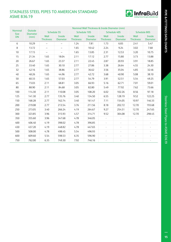# STAINLESS STEEL PIPES TO AMERICAN STANDARD ASME B36.19



|                               |                            | Nominal Wall Thickness & Inside Diameter (mm) |                           |                          |                           |                          |                           |                          |                           |  |
|-------------------------------|----------------------------|-----------------------------------------------|---------------------------|--------------------------|---------------------------|--------------------------|---------------------------|--------------------------|---------------------------|--|
| <b>Nominal</b><br><b>Size</b> | Outside<br><b>Diameter</b> | Schedule 5S                                   |                           |                          | Schedule 10S              |                          | Schedule 40S              |                          | Schedule 80S              |  |
| <b>DN</b>                     | (mm)                       | Wall<br><b>Thickness</b>                      | Inside<br><b>Diameter</b> | Wall<br><b>Thickness</b> | Inside<br><b>Diameter</b> | Wall<br><b>Thickness</b> | Inside<br><b>Diameter</b> | Wall<br><b>Thickness</b> | Inside<br><b>Diameter</b> |  |
| 6                             | 10.29                      | $\overline{\phantom{m}}$                      | $\qquad \qquad -$         | 1.24                     | 7.81                      | 1.73                     | 6.83                      | 2.41                     | 5.47                      |  |
| 8                             | 13.72                      | $\overline{\phantom{0}}$                      | $\qquad \qquad -$         | 1.65                     | 10.42                     | 2.24                     | 9.24                      | 3.02                     | 7.68                      |  |
| 10                            | 17.15                      | $\overline{\phantom{m}}$                      | $\overline{\phantom{m}}$  | 1.65                     | 13.85                     | 2.31                     | 12.53                     | 3.20                     | 10.75                     |  |
| 15                            | 21.34                      | 1.65                                          | 18.04                     | 2.11                     | 17.12                     | 2.77                     | 15.80                     | 3.73                     | 13.88                     |  |
| 20                            | 26.67                      | 1.65                                          | 23.37                     | 2.11                     | 22.45                     | 2.87                     | 20.93                     | 3.91                     | 18.85                     |  |
| 25                            | 33.40                      | 1.65                                          | 30.10                     | 2.77                     | 27.86                     | 3.38                     | 26.64                     | 4.55                     | 24.30                     |  |
| 32                            | 42.16                      | 1.65                                          | 38.86                     | 2.77                     | 36.62                     | 3.56                     | 35.04                     | 4.85                     | 32.46                     |  |
| 40                            | 48.26                      | 1.65                                          | 44.96                     | 2.77                     | 42.72                     | 3.68                     | 40.90                     | 5.08                     | 38.10                     |  |
| 50                            | 60.33                      | 1.65                                          | 57.03                     | 2.77                     | 54.79                     | 3.91                     | 52.51                     | 5.54                     | 49.25                     |  |
| 65                            | 73.03                      | 2.11                                          | 68.81                     | 3.05                     | 66.93                     | 5.16                     | 62.71                     | 7.01                     | 59.01                     |  |
| 80                            | 88.90                      | 2.11                                          | 84.68                     | 3.05                     | 82.80                     | 5.49                     | 77.92                     | 7.62                     | 73.66                     |  |
| 100                           | 114.30                     | 2.11                                          | 110.08                    | 3.05                     | 108.20                    | 6.02                     | 102.26                    | 8.56                     | 97.18                     |  |
| 125                           | 141.30                     | 2.77                                          | 135.76                    | 3.40                     | 134.50                    | 6.55                     | 128.19                    | 9.52                     | 122.25                    |  |
| 150                           | 168.28                     | 2.77                                          | 162.74                    | 3.40                     | 161.47                    | 7.11                     | 154.05                    | 10.97                    | 146.33                    |  |
| 200                           | 219.08                     | 2.77                                          | 213.54                    | 3.76                     | 211.56                    | 8.18                     | 202.72                    | 12.70                    | 193.68                    |  |
| 250                           | 273.05                     | 3.40                                          | 266.24                    | 4.19                     | 264.67                    | 9.27                     | 254.51                    | 12.70                    | 247.65                    |  |
| 300                           | 323.85                     | 3.96                                          | 315.93                    | 4.57                     | 314.71                    | 9.52                     | 304.08                    | 12.70                    | 298.45                    |  |
| 350                           | 355.60                     | 3.96                                          | 347.68                    | 4.78                     | 346.05                    | $\Box$                   |                           |                          |                           |  |
| 400                           | 406.40                     | 4.19                                          | 398.02                    | 4.78                     | 396.85                    | $\blacksquare$           | $\blacksquare$            | $\blacksquare$           |                           |  |
| 450                           | 457.20                     | 4.19                                          | 448.82                    | 4.78                     | 447.65                    | $\omega$                 | $\overline{\phantom{a}}$  | $\sim$                   | $\blacksquare$            |  |
| 500                           | 508.00                     | 4.78                                          | 498.45                    | 5.54                     | 496.93                    | $\overline{\phantom{a}}$ | $\blacksquare$            | $\overline{\phantom{a}}$ | $\blacksquare$            |  |
| 600                           | 609.60                     | 5.54                                          | 598.53                    | 6.35                     | 596.90                    | $\overline{\phantom{a}}$ | $\blacksquare$            | $\blacksquare$           | $\blacksquare$            |  |
| 750                           | 762.00                     | 6.35                                          | 749.30                    | 7.92                     | 746.16                    | $\overline{\phantom{a}}$ | ÷,                        | $\overline{\phantom{a}}$ |                           |  |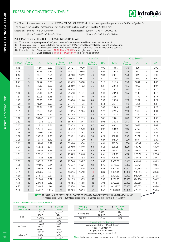# PRESSURE CONVERSION TABLE



The SI unit of pressure and stress is the NEWTON PER SQUARE METRE which has been given the special name PASCAL – Symbol Pa. The pascal is too small for most normal uses and suitable multiple units preferred for Australia are:

kilopascal: Symbol – kPa (= 1000 Pa) megapascal: Symbol – MPa (= 1,000,000 Pa)

 $(1 \text{ N/m}^2 = 0.000145 \text{ lbf/in}^2)$ 

 $= 1$ Pa) (1 N/mm<sup>2</sup> = 145 lbf/in<sup>2</sup> = 1MPa)

#### PSI (lbf/in2 ) to kPa • PRESSURE – STRESS CONVERSION CHART

(A) To use, locate "given pressure" in "given pressure" column (coloured blue) whether lbf/in<sup>2</sup> or kPa.

(B) If "given pressure" is in pounds force per square inch (lbf/in2 ), read kilopascals (kPa) in right hand column.

(C) If "given pressure" is in kilopascals (kPa), read pounds force per square inch (lbf/in2 ) in left hand column.

(D) Example: (i) Given pressure is  $100$  lbf/in<sup>2</sup> = 689 kPa from right hand column

(ii) Given pressure is  $100kPa = 14.50 lbf/in<sup>2</sup> from left hand column$ 

|                     | 1 to 35                    |        |                     | 36 to 70          |        |                     | 71 to 125         |     |                     |                   | 130 to 80,000 |          |            |
|---------------------|----------------------------|--------|---------------------|-------------------|--------|---------------------|-------------------|-----|---------------------|-------------------|---------------|----------|------------|
| lbf/in <sup>2</sup> | Given<br>Pressure          | kPa    | lbf/in <sup>2</sup> | Given<br>Pressure | kPa    | lbf/in <sup>2</sup> | Given<br>Pressure | kPa | lbf/in <sup>2</sup> | Given<br>Pressure | kPa           | Ξ        | <b>MPa</b> |
| 0.15                | $\mathbf{1}$               | 6.89   | 5.22                | 36                | 248.21 | 10.30               | 71                | 490 | 18.85               | 130               | 896           | $\equiv$ | 0.90       |
| 0.29                | $\overline{2}$             | 13.79  | 5.37                | 37                | 255.11 | 10.44               | 72                | 496 | 19.58               | 135               | 931           | $\equiv$ | 0.93       |
| 0.44                | 3                          | 20.68  | 5.51                | 38                | 262.00 | 10.59               | 73                | 503 | 20.31               | 140               | 965           | $\equiv$ | 0.97       |
| 0.58                | $\mathcal{L}_{\mathsf{I}}$ | 27.58  | 5.66                | 39                | 268.9  | 10.73               | 74                | 510 | 21.03               | 145               | 1000          | $\equiv$ | 1.00       |
| 0.73                | 5                          | 34.47  | 5.80                | 40                | 275.79 | 10.88               | 75                | 517 | 21.76               | 150               | 1034          | $\equiv$ | 1.03       |
| 0.87                | 6                          | 41.37  | 5.95                | 41                | 282.69 | 11.02               | 76                | 524 | 22.48               | 155               | 1069          | $\equiv$ | 1.07       |
| 1.02                | $\overline{7}$             | 48.26  | 6.09                | 42                | 289.58 | 11.17               | 77                | 531 | 23.21               | 160               | 1103          | $\equiv$ | 1.10       |
| 1.16                | 8                          | 55.16  | 6.24                | 43                | 296.48 | 11.31               | 78                | 538 | 23.93               | 165               | 1138          | $\equiv$ | 1.14       |
| 1.31                | 9                          | 62.05  | 6.38                | 44                | 303.37 | 11.46               | 79                | 545 | 24.61               | 170               | 1172          | $\equiv$ | 1.17       |
| 1.45                | 10                         | 68.95  | 6.53                | 45                | 310.26 | 11.60               | 80                | 552 | 25.38               | 175               | 1207          | $\equiv$ | 1.21       |
| 1.60                | 11                         | 75.84  | 6.67                | 46                | 317.16 | 11.75               | 81                | 558 | 26.11               | 180               | 1241          | $\equiv$ | 1.24       |
| 1.74                | 12                         | 82.74  | 6.82                | 47                | 324.05 | 11.89               | 82                | 565 | 26.83               | 185               | 1276          | $\equiv$ | 1.28       |
| 1.89                | 13                         | 89.63  | 6.96                | $48$              | 330.95 | 12.04               | 83                | 572 | 27.56               | 190               | 1310          | $\equiv$ | 1.31       |
| 2.03                | 14                         | 96.53  | 7.11                | 49                | 337.84 | 12.18               | 84                | 579 | 28.28               | 195               | 1344          | $\equiv$ | 1.34       |
| 2.18                | 15                         | 103.42 | 7.25                | 50                | 344.74 | 12.33               | 85                | 586 | 29.01               | 200               | 1379          | $\equiv$ | 1.38       |
| 2.32                | 16                         | 110.32 | 7.40                | 51                | 351.63 | 12.47               | 86                | 593 | 36.26               | 250               | 1724          | $\equiv$ | 1.73       |
| 2.47                | 17                         | 117.21 | 7.54                | 52                | 358.53 | 12.62               | 87                | 600 | 43.51               | 300               | 2068          | $\equiv$ | 2.07       |
| 2.61                | 18                         | 124.11 | 7.69                | 53                | 365.42 | 12.70               | 88                | 607 | 58.02               | 400               | 2758          | $\equiv$ | 2.76       |
| 2.76                | 19                         | 131.00 | 7.83                | 54                | 372.32 | 12.91               | 89                | 614 | 72.52               | 500               | 3447          | $\equiv$ | 3.45       |
| 2.90                | 20                         | 137.90 | 7.98                | 55                | 379.21 | 13.05               | 90                | 621 | 108.78              | 750               | 5171          | $\equiv$ | 5.17       |
| 3.05                | 21                         | 144.79 | 8.12                | 56                | 386.11 | 13.20               | 91                | 627 | 145.04              | 1000              | 6894          | $\equiv$ | 6.89       |
| 3.19                | 22                         | 151.69 | 8.27                | 57                | 393.00 | 13.34               | 92                | 634 | 217.56              | 1500              | 10,342        | $\equiv$ | 10.34      |
| 3.34                | 23                         | 158.58 | 8.41                | 58                | 399.90 | 13.49               | 93                | 641 | 290.08              | 2000              | 13,790        | $\equiv$ | 13.79      |
| 3.48                | 24                         | 165.47 | 8.56                | 59                | 406.79 | 13.63               | 94                | 648 | 435.11              | 3000              | 20,684        | $\equiv$ | 20.68      |
| 3.63                | 25                         | 172.37 | 8.70                | 60                | 413.69 | 13.78               | 95                | 655 | 580.15              | 4000              | 27,579        | $\equiv$ | 27.58      |
| 3.77                | 26                         | 179.26 | 8.85                | 61                | 420.58 | 13.92               | 96                | 662 | 725.19              | 5000              | 34,473        | $\equiv$ | 34.47      |
| 3.92                | 27                         | 186.16 | 8.99                | 62                | 427.48 | 14.07               | 97                | 669 | 1,450.38            | 10,000            | 68,948        | $\equiv$ | 68.95      |
| 4.06                | 28                         | 193.05 | 9.14                | 63                | 434.37 | 14.21               | 98                | 676 | 2,175.57            | 15,000            | 103,421       | $\equiv$ | 103.4      |
| 4.21                | 29                         | 199.95 | 9.28                | 64                | 441.26 | 14.34               | 99                | 683 | 2,900.76            | 20,000            | 137,895       | $\equiv$ | 137.9      |
| 4.35                | 30                         | 206.84 | 9.43                | 65                | 448.16 | 14.50               | 100               | 689 | 4,351.14            | 30,000            | 206,843       | $\equiv$ | 206.8      |
| 4.50                | 31                         | 213.74 | 9.57                | 66                | 455.05 | 15.23               | 105               | 724 | 5,801.52            | 40,000            | 275,790       | $\equiv$ | 275.8      |
| 4.64                | 32                         | 220.63 | 9.72                | 67                | 461.95 | 15.95               | 110               | 758 | 7,251.90            | 50,000            | 344,738       | $\equiv$ | 344.7      |
| 4.79                | 33                         | 227.53 | 9.86                | 68                | 468.84 | 16.68               | 115               | 793 | 8,702.28            | 60,000            | 413.686       | $\equiv$ | 413.7      |
| 4.93                | 34                         | 234.42 | 10.01               | 69                | 475.74 | 17.40               | 120               | 827 | 10,152.70           | 70,000            | 482,633       | $\equiv$ | 482.6      |
| 5.08                | 35                         | 241.32 | 10.15               | 70                | 482.63 | 18.13               | 125               | 862 | 11,603.00           | 80,000            | 551,581       | $\equiv$ | 551.6      |

**NOTE:** IT IS USUAL FOR PRESSURES IN EXCESS OF 1000 kPa TO BE EXPRESSED IN MEGAPASCALS – MPa 1 megapascal (MPa) = 1000 kilopascals (kPa) = 1 newton per mm<sup>2</sup> (N/mm<sup>2</sup>) = 145 lbf/in<sup>2</sup>

#### Useful Conversion Factors - Approximate

| <b>Multiply</b>                | by      | $\blacktriangleright$ To Obtain |
|--------------------------------|---------|---------------------------------|
| To Obtain $\blacktriangleleft$ | bv      | <b>Divide</b>                   |
|                                | 1.0197  | kg f/cm <sup>2</sup>            |
| <b>Bars</b>                    | 100.0   | kPa                             |
|                                | 14.504  | lbf/in <sup>2</sup>             |
|                                | 0.1     | MPa                             |
|                                | 14.223  | lbf/in <sup>2</sup>             |
| kg f/cm <sup>2</sup>           | 98.07   | kP <sub>G</sub>                 |
|                                | 0.09807 | MPa                             |
|                                | 1422.33 | lbf/in <sup>2</sup>             |
| kq f/mm <sup>2</sup>           | 9.807   | MPa                             |
|                                | 0.635   | ton $f/in^2$                    |

| <b>Multiply</b>                                    | $\blacktriangleright$ by                        | $\blacktriangleright$ To Obtain |  |  |  |  |  |
|----------------------------------------------------|-------------------------------------------------|---------------------------------|--|--|--|--|--|
| To Obtain $\blacktriangleleft$                     | bv                                              | <b>Divide</b>                   |  |  |  |  |  |
|                                                    | 6.895                                           | kPa                             |  |  |  |  |  |
| $lb$ f/in <sup>2</sup> (PSI)                       | 0.00689                                         | MPa                             |  |  |  |  |  |
| ton $f/in^2$                                       | 15.444                                          | MPa                             |  |  |  |  |  |
|                                                    | <b>Approximate Equivalents</b>                  |                                 |  |  |  |  |  |
|                                                    | 1 Atmosphere (atm) = 14.696 lbf/in <sup>2</sup> |                                 |  |  |  |  |  |
| 1 bar = $14.50$ lbf/in <sup>2</sup>                |                                                 |                                 |  |  |  |  |  |
| 1 kg f/cm <sup>2</sup> = 14.22 lbf/in <sup>2</sup> |                                                 |                                 |  |  |  |  |  |
| 100 kPa $(1 \text{ bar}) = 14.50 \text{ lbf/in}^2$ |                                                 |                                 |  |  |  |  |  |

**Note:** lbf/in2 (pounds force per square inch) is often expressed as PSI (pounds per square inch)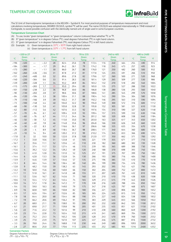

The SI Unit of thermodynamic temperature is the KELVIN – Symbol K. For most practical purposes of temperature measurement and most calculations involving temperatures, DEGREE CELSIUS, symbol <sup>O</sup>C will be used. The name CELSIUS was adopted internationally in 1948 instead of Centigrade, to avoid possible confusion with the identically named unit of angle used in some European countries.

#### **Temperature Conversion Chart**

- (A) To use, locate "given temperature" in "given temperature" column (coloured blue) whether <sup>O</sup>C or <sup>O</sup>F.
- (B) If "given temperature" is in degrees Celsius ( $^{\circ}$ C), read degrees Fahrenheit ( $^{\circ}$ F) in right hand column.
- (C) If "given temperature" is in degrees Fahrenheit ( $^{0}F$ ), read degrees Celsius ( $^{0}C$ ) in left hand column.
- (D) Example: (i) Given temperature is  $35^{\circ}$ C =  $95^{\circ}$ F from right hand column (ii) Given temperature is  $35^{\circ}F = 1.7^{\circ}C$  from left hand column
- –320 to 27 28 to 77 78 to 235 240 to 485 490 to 2400 o Given **Temp.**  $^{\circ}$ F  $^{\circ}$ C Given **Temp**  $^{\circ}$ F  $^{\circ}$ C Given Temp.  $^{\circ}$ F  $^{\circ}$ C Given uiven<br>Temp. <sup>o</sup>F F <sup>o</sup>  $\circ$ C Given Temp. F –196 –320 –– – 2.2 28 82.4 25.6 78 172.4 116 240 464 254 490 914 –184 –300 –– – 1.7 29 84.2 26.1 79 174.2 118 245 473 257 495 923 –173 –280 –– – 1.1 30 86.0 26.7 80 176.0 121 250 482 260 500 932 –162 –260 –436 – 0.6 31 87.8 27.2 81 177.8 124 255 491 266 510 950 –151 –240 –400 0.0 32 89.6 27.8 82 179.6 127 260 500 271 520 968 –140 –220 –364 0.6 33 91.4 28.3 83 181.4 129 265 509 277 530 986 –129 –200 –328 1.1 34 93.2 28.9 84 183.2 132 270 518 282 540 1004 –115 –175 –283 1.7 35 95.0 29.4 85 185.0 135 275 527 288 550 1022 –101 –150 –238 2.2 36 96.8 30.0 86 186.8 138 280 536 293 560 1040 – 90 –130 –202 2.8 37 98.6 30.6 87 188.6 141 285 545 299 570 1058 – 84 –120 –184 3.3 38 100.4 31.1 88 190.4 143 290 554 304 580 1076 – 79 –110 –166 3.9 39 102.2 31.7 89 192.2 146 295 563 310 590 1094 – 73 –100 –148 4.4 40 104.0 32.2 90 194.0 149 300 572 316 600 1112 – 68 – 90 –130 5.0 41 105.8 32.8 91 195.8 152 305 581 321 610 1130 – 62 – 80 –112 5.6 42 107.6 33.3 92 197.6 154 310 590 327 620 1148 – 57 – 70 – 94 6.1 43 109.4 33.9 93 199.4 157 315 599 332 630 1166 – 51 – 60 – 76 6.7 44 111.2 34.4 94 201.2 160 320 608 338 640 1184 – 46 – 50 – 58 7.2 45 113.0 35.0 95 203.0 163 325 617 343 650 1202 – 40 – 40 – 40 7.8 46 114.8 35.6 96 204.8 166 330 626 349 660 1220 – 34 – 30 – 22 8.3 47 116.6 36.1 97 206.6 168 335 635 354 670 1238 – 29 – 20 – 4 8.9 48 118.4 36.7 98 208.4 171 340 644 360 680 1256 – 23 – 10 14 9.4 49 120.2 37.2 99 210.2 174 345 653 366 690 1274 – 17.8 0 32 10.0 50 122.0 37.8 100 212.0 177 350 662 371 700 1292 – 17.2 1 33.8 10.6 51 123.8 41 105 221 179 355 671 377 710 1310 – 16.7 2 35.6 11.1 52 125.6 43 110 230 182 360 680 382 720 1328 – 16.1 3 37.4 11.7 53 127.4 46 115 239 185 365 689 388 730 1346 – 15.6 4 39.2 12.2 54 129.2 49 120 248 188 370 698 393 740 1364 – 15.0 5 41.0 12.8 55 131.0 52 125 257 191 375 707 399 750 1382 – 14.4 6 42.8 13.3 56 132.8 54 130 266 193 380 716 404 760 1400 – 13.9 7 44.6 13.9 57 134.6 57 135 275 196 385 725 410 770 1418 – 13.3 8 46.4 14.4 58 136.4 60 140 284 199 390 734 416 780 1436 – 12.8 9 48.2 15.0 59 138.2 63 145 293 202 395 743 421 790 1454 – 12.2 10 50.0 15.6 60 140.0 66 150 302 204 400 752 427 800 1472 – 11.7 11 51.8 16.1 61 141.8 68 155 311 207 405 761 432 810 1490 – 11.1 12 53.6 16.7 62 143.6 71 160 320 210 410 770 438 820 1508 – 10.6 13 55.4 17.2 63 145.4 74 165 329 213 415 779 443 830 1526 – 10.0 14 57.2 17.8 64 147.2 77 170 338 216 420 788 454 850 1562 – 9.4 15 59.0 18.3 65 149.0 79 175 347 218 425 797 468 875 1607 – 8.9 16 60.8 18.9 66 150.8 82 180 356 221 430 806 482 900 1652 – 8.3 17 62.6 19.4 67 152.6 85 185 365 224 435 815 510 950 1742 – 7.8 18 64.4 20.0 68 154.4 88 190 374 227 440 824 538 1000 1832 – 7.2 19 66.2 20.6 69 156.2 91 195 383 229 445 833 566 1050 1922 – 6.7 20 68.0 21.1 70 158.0 93 200 392 232 450 842 593 1100 2012 – 6.1 21 69.8 21.7 71 159.8 96 205 401 235 455 851 621 1150 2102 – 5.6 22 71.6 22.2 72 161.6 99 210 410 238 460 860 649 1200 2192 – 5.0 23 73.4 22.8 73 163.4 102 215 419 241 465 869 704 1300 2372 – 4.4 24 75.2 23.3 74 165.2 104 220 428 243 470 878 760 1400 2552 – 3.9 25 77.0 23.9 75 167.0 107 225 437 246 475 887 816 1500 2732 – 3.3 26 78.8 24.4 76 168.8 110 230 446 249 480 896 1093 2000 3632 – 2.8 27 80.6 25.0 77 170.6 113 235 455 252 485 905 1316 2400 4352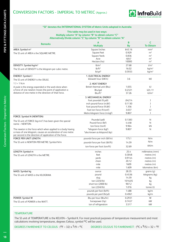

#### **"SI" denotes the INTERNATIONAL SYSTEM of Metric Units adopted in Australia**

#### **This table may be used in two ways: Multiply column "A" by column "B" to obtain column "C" Alternatively Divide column "C" by column "B" to obtain column "A"**

| <b>Remarks</b>                                                                                                          | A                              | B         | c                 |
|-------------------------------------------------------------------------------------------------------------------------|--------------------------------|-----------|-------------------|
|                                                                                                                         | <b>Multiply</b>                | <b>By</b> | <b>To Obtain</b>  |
| AREA: Symbol m <sup>2</sup>                                                                                             | Square Inches                  | 645.16    | mm <sup>2</sup>   |
| The SI unit of AREA is the SQUARE METRE.                                                                                | Square Feet                    | 0.929     | m <sup>2</sup>    |
|                                                                                                                         | Square Yards                   | 0.836     | m <sup>2</sup>    |
|                                                                                                                         | Acre                           | 4047      | m <sup>2</sup>    |
|                                                                                                                         | Hectare (ha)                   | 10000     | m <sup>2</sup>    |
| DENSITY: Symbol kg/m <sup>3</sup>                                                                                       | lb/in <sup>3</sup>             | 27.68     | t/m <sup>3</sup>  |
| The SI unit of DENSITY is the kilogram per cubic metre.                                                                 | lb/ft <sup>3</sup>             | 16.02     | kg/m <sup>3</sup> |
|                                                                                                                         | $lb$ /yd <sup>3</sup>          | 0.5933    | kg/m <sup>3</sup> |
| ENERGY: Symbol J                                                                                                        | 1. ELECTRICAL ENERGY           |           |                   |
| The SI unit of ENERGY is the JOULE.                                                                                     | kilowatt hour (kW.h)           | 3.6       | MJ                |
| $1$ J = 1 N.m                                                                                                           | 2. HEAT ENERGY                 |           |                   |
| A joule is the energy expended or the work done when                                                                    | British thermal unit (Btu)     | 1.055     | kJ                |
| a force of one newton moves the point of application a                                                                  | Btu/gal                        | 0.2321    | $kJ/L$ ++         |
| distance of one metre in the direction of that force.                                                                   | Btu/ft <sup>3</sup>            | 37.26     | kJ/m <sup>3</sup> |
|                                                                                                                         | 3. MECHANICAL ENERGY           |           |                   |
|                                                                                                                         | foot poundal (ft.pdl)          | .04214    | J                 |
|                                                                                                                         | inch pound-force (in.lbf)      | 0.1130    | J                 |
|                                                                                                                         | foot pound-force (ft.lbf)      | 1.356     | J                 |
|                                                                                                                         | foot ton force (ft.tonf)       | 3.037     | kJ                |
|                                                                                                                         | Metre kilogram force (m.kgf)   | 9.807     | J                 |
| FORCE: Symbol N (NEWTON)                                                                                                |                                |           |                   |
| The SI unit of FORCE (kg.m/s <sup>2</sup> ) has been given the special                                                  | Poundal (pdl)                  | 0.1383    | N                 |
| name - NEWTON.                                                                                                          | Pound-force (lbf)              | 4.448     | N                 |
|                                                                                                                         | ton-force (tonf)               | 9.964     | kN                |
| The newton is the force which when applied to a body having                                                             | *kilogram-force (kgf)          | 9.807     | N                 |
| a mass of one kilogram, causes an acceleration of one metre<br>per second in the direction of application of the force. | *also known as kilopond (kp)   |           |                   |
| <b>FORCE PER UNIT LENGTH:</b>                                                                                           | pounds-force per inch (lbf/in) | 175.1     | N/m               |
| The SI unit is NEWTON PER METRE: Symbol N/m                                                                             | pounds-force per foot (lbf/ft) | 14.59     | N/m               |
|                                                                                                                         | ton-force per foot (ton/ft)    | 32.69     | kN/m              |
| LENGTH: Symbol m                                                                                                        | inches                         | 25.4      | millimetres (mm)  |
| The SI unit of LENGTH is the METRE.                                                                                     | feet                           | 0.3048    | metres (m)        |
|                                                                                                                         | yards                          | 0.9144    | metres (m)        |
|                                                                                                                         | chain                          | 20.12     | metres (m)        |
|                                                                                                                         | mile                           | 1609      | metres (m)        |
|                                                                                                                         | mile                           | 1.609     | kilometres (km)   |
| MASS: Symbol kg                                                                                                         | ounce                          | 28.35     | $q$ rams $(q)$    |
| The SI unit of MASS is the KILOGRAM.                                                                                    | pound                          | 0.4536    | kilograms (kg)    |
|                                                                                                                         | slug                           | 14.59     | kg                |
|                                                                                                                         | ton (2240 lb)                  | 1016.05   | kg                |
|                                                                                                                         | short ton (2000 lb)            | 907.2     | kg                |
|                                                                                                                         | ton (2240 lb)                  | 1.016     | tonne (t)         |
|                                                                                                                         | pounds per foot (lb/ft)        | 1.488     | kg/m              |
|                                                                                                                         | pounds per yard (lb/yd)        | 0.4961    | kg/m              |
| POWER: Symbol W                                                                                                         | Btu per hour (Btu/hr)          | 0.2931    | W                 |
| The SI unit of POWER is the WATT.                                                                                       | horsepower (hp)                | 0.7457    | kW                |
|                                                                                                                         | ton of refrigeration           | 3.517     | kW                |

#### **TEMPERATURE**

The SI unit of TEMPERATURE is the KELVIN – Symbol K. For most practical purposes of temperature measurement and most calculations involving temperatures, degrees Celsius, symbol <sup>O</sup>C will be used.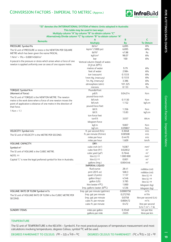

|                                                                                                                                      | "SI" denotes the INTERNATIONAL SYSTEM of Metric Units adopted in Australia  |                     |                                         |
|--------------------------------------------------------------------------------------------------------------------------------------|-----------------------------------------------------------------------------|---------------------|-----------------------------------------|
|                                                                                                                                      | This table may be used in two ways:                                         |                     |                                         |
|                                                                                                                                      | Multiply column "A" by column "B" to obtain column "C"                      |                     |                                         |
|                                                                                                                                      | Alternatively Divide column "C" by column "B" to obtain column "A"          |                     |                                         |
|                                                                                                                                      | Α                                                                           | B                   | C                                       |
| <b>Remarks</b>                                                                                                                       | <b>Multiply</b>                                                             | <b>By</b>           | <b>To Obtain</b>                        |
| PRESSURE: Symbol Pa                                                                                                                  | lbf/in <sup>2</sup>                                                         | 6.895               | kPa                                     |
| The SI unit of PRESSURE or stress is the NEWTON PER SQUARE                                                                           | kip/in <sup>2</sup> (1000 psi)                                              | 6.895               | MPa                                     |
| METRE which has been given the name PASCAL.                                                                                          | $lbf/ft^2$                                                                  | 47.88               | Pa                                      |
| $1 \text{ N/m}^2$ = 1Pa = 0.000145lbf/in <sup>2</sup>                                                                                | kgf/cm <sup>2</sup>                                                         | 98.07               | kPa                                     |
|                                                                                                                                      | bar                                                                         | 100                 | kPa                                     |
| A pascal is the pressure or stress which arises when a force of one<br>newton is applied uniformly over an area of one square metre. | Vertical column (head) of water.<br>$(H, 0 \text{ at } 20^{\circ}\text{C})$ |                     |                                         |
|                                                                                                                                      | metres of water                                                             | 9.79                | kPa                                     |
|                                                                                                                                      | feet of water                                                               | 2.984               | kPa                                     |
|                                                                                                                                      | torr (vacuum)                                                               | 0.1333              | kPa                                     |
|                                                                                                                                      | 1mm Hg. (mercury)                                                           | 0.1333              | kPa                                     |
|                                                                                                                                      | 1in. Hg. (mercury)                                                          | 3.386               | kPa                                     |
|                                                                                                                                      | atmosphere (atm)                                                            | 101.325             | kPa                                     |
|                                                                                                                                      | microns                                                                     | 0.133               | Pa                                      |
| TORQUE: Symbol N.m                                                                                                                   | Poundal-foot                                                                |                     |                                         |
| (Moment of force)                                                                                                                    | pdl.ft                                                                      | 0.04214             | N.m                                     |
| The SI unit of TORQUE is the NEWTON METRE. The newton                                                                                | pound-force inch                                                            |                     |                                         |
| metre is the work done when a force of one newton moves the                                                                          | lbf.inch                                                                    | 0.1130              | N.m                                     |
| point of application a distance of one metre in the direction of                                                                     | lbf.inch                                                                    | 1.152               | kgf.cm                                  |
| that force.                                                                                                                          | pound-force feet                                                            |                     |                                         |
| $1 N.m = 1 J$                                                                                                                        | lbf.ft                                                                      | 1.356               | N.m                                     |
|                                                                                                                                      | lbf.ft                                                                      | 13.83               | kgf.cm                                  |
|                                                                                                                                      | ton-force feet                                                              |                     |                                         |
|                                                                                                                                      | tonf.ft                                                                     | 3.037               | kN.m                                    |
|                                                                                                                                      | kilogram-force                                                              |                     |                                         |
|                                                                                                                                      | kgf.m                                                                       | 9.807               | N.m                                     |
|                                                                                                                                      | kgf.cm                                                                      | 0.09807             | N.m                                     |
| VELOCITY: Symbol m/s                                                                                                                 | ft. per second (ft/s)                                                       | 0.3048              | m/s                                     |
| The SI unit of VELOCITY is the METRE PER SECOND.                                                                                     | ft. per minute (ft/min)                                                     | 0.00508             | m/s                                     |
|                                                                                                                                      | miles per hour                                                              | 0.4470              | m/s                                     |
|                                                                                                                                      | miles per hour                                                              | 1.609               | km/h                                    |
| <b>VOLUME: CAPACITY:</b>                                                                                                             | DRY:                                                                        |                     |                                         |
| Symbol $m3$                                                                                                                          | cubic inch (in <sup>3</sup> )                                               | 16387               | mm <sup>3</sup>                         |
| The SI unit of VOLUME is the CUBIC METRE.                                                                                            | cubic foot (ft <sup>3</sup> )                                               | 0.02832             | m <sup>3</sup>                          |
| NOTE: ++                                                                                                                             | cubic yard (yd <sup>3</sup> )                                               | 0.7646<br>1 000 000 | m <sup>3</sup>                          |
| Capital "L" is now the legal preferred symbol for litre in Australia.                                                                | litre (L) ++                                                                | 0.001               | mm <sup>3</sup><br>m <sup>3</sup>       |
|                                                                                                                                      | litre (L) ++                                                                | 0.004546            | m <sup>3</sup>                          |
|                                                                                                                                      | gallons (Imp.)<br>IMPERIAL LIQUID                                           |                     |                                         |
|                                                                                                                                      | fluid ounce                                                                 | 28.41               |                                         |
|                                                                                                                                      | pint (20 fl. oz)                                                            | 568.3               | millilitre (ml)                         |
|                                                                                                                                      | quart (2 pints)                                                             | 1.137               | millilitre (ml)                         |
|                                                                                                                                      | qallon (Imp.)                                                               | 4.546               | litre $(L)$ ++                          |
|                                                                                                                                      | qallon (US)                                                                 | 3.785               | litre $(L)$ ++                          |
|                                                                                                                                      | litre (water 4 <sup>O</sup> C)                                              | 1.000               | litre $(L)$ ++                          |
|                                                                                                                                      | Imp. gallons (water 20 <sup>o</sup> C)                                      | 4.536               | kilogram (kg)                           |
| VOLUME: RATE OF FLOW Symbol m <sup>3</sup> /s                                                                                        | Imp. gal. per minute (gal/min)                                              | 0.0000758           | kilogram (kg)<br>$m^3/s$                |
|                                                                                                                                      | Imp. gal. per minute                                                        | 0.272765            | m <sup>3</sup> /hr                      |
| The SI unit of VOLUME RATE OF FLOW is the CUBIC METRE PER                                                                            |                                                                             | 0.0758              |                                         |
| SECOND.                                                                                                                              | Imp. gal. per minute                                                        | 0.000472            | litre per second (L/s)<br>$m^3/s$       |
|                                                                                                                                      | cubic ft. per minute                                                        | 0.472               |                                         |
|                                                                                                                                      | cubic ft. per minute                                                        |                     | litre per second<br>$(L/s) 1 m3 = 1 kL$ |
| <b>SUNDRY ITEMS:</b>                                                                                                                 | miles per gallon                                                            | 0.3540              | km per litre                            |
|                                                                                                                                      | gallons per mile                                                            | 2.825               | litres per km                           |
|                                                                                                                                      |                                                                             |                     |                                         |

#### **TEMPERATURE**

The SI unit of TEMPERATURE is the KELVIN – Symbol K. For most practical purposes of temperature measurement and most calculations involving temperatures, degrees Celsius, symbol <sup>O</sup>C will be used.

PIPE & FITTINGS DATA CHARTS